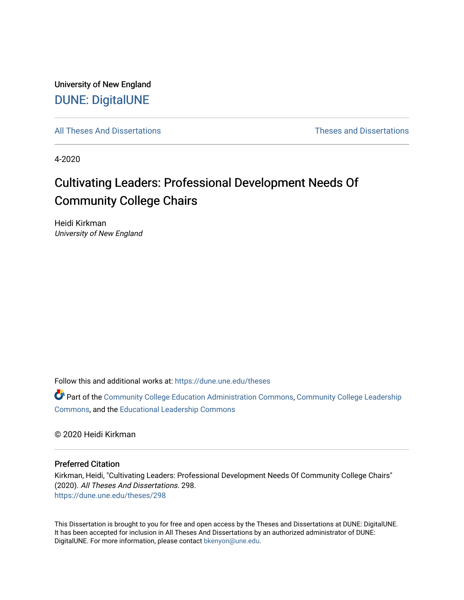University of New England [DUNE: DigitalUNE](https://dune.une.edu/) 

[All Theses And Dissertations](https://dune.une.edu/theses) [Theses and Dissertations](https://dune.une.edu/theses_dissertations) 

4-2020

# Cultivating Leaders: Professional Development Needs Of Community College Chairs

Heidi Kirkman University of New England

Follow this and additional works at: [https://dune.une.edu/theses](https://dune.une.edu/theses?utm_source=dune.une.edu%2Ftheses%2F298&utm_medium=PDF&utm_campaign=PDFCoverPages) 

Part of the [Community College Education Administration Commons](http://network.bepress.com/hgg/discipline/792?utm_source=dune.une.edu%2Ftheses%2F298&utm_medium=PDF&utm_campaign=PDFCoverPages), [Community College Leadership](http://network.bepress.com/hgg/discipline/1039?utm_source=dune.une.edu%2Ftheses%2F298&utm_medium=PDF&utm_campaign=PDFCoverPages) [Commons](http://network.bepress.com/hgg/discipline/1039?utm_source=dune.une.edu%2Ftheses%2F298&utm_medium=PDF&utm_campaign=PDFCoverPages), and the [Educational Leadership Commons](http://network.bepress.com/hgg/discipline/1230?utm_source=dune.une.edu%2Ftheses%2F298&utm_medium=PDF&utm_campaign=PDFCoverPages) 

© 2020 Heidi Kirkman

# Preferred Citation

Kirkman, Heidi, "Cultivating Leaders: Professional Development Needs Of Community College Chairs" (2020). All Theses And Dissertations. 298. [https://dune.une.edu/theses/298](https://dune.une.edu/theses/298?utm_source=dune.une.edu%2Ftheses%2F298&utm_medium=PDF&utm_campaign=PDFCoverPages)

This Dissertation is brought to you for free and open access by the Theses and Dissertations at DUNE: DigitalUNE. It has been accepted for inclusion in All Theses And Dissertations by an authorized administrator of DUNE: DigitalUNE. For more information, please contact [bkenyon@une.edu.](mailto:bkenyon@une.edu)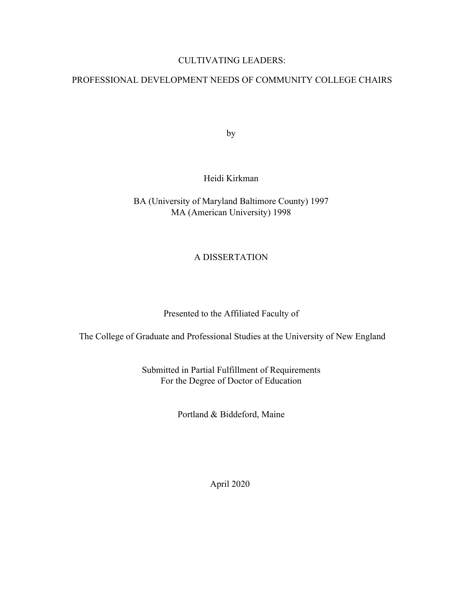# CULTIVATING LEADERS:

# PROFESSIONAL DEVELOPMENT NEEDS OF COMMUNITY COLLEGE CHAIRS

by

# Heidi Kirkman

BA (University of Maryland Baltimore County) 1997 MA (American University) 1998

# A DISSERTATION

Presented to the Affiliated Faculty of

The College of Graduate and Professional Studies at the University of New England

Submitted in Partial Fulfillment of Requirements For the Degree of Doctor of Education

Portland & Biddeford, Maine

April 2020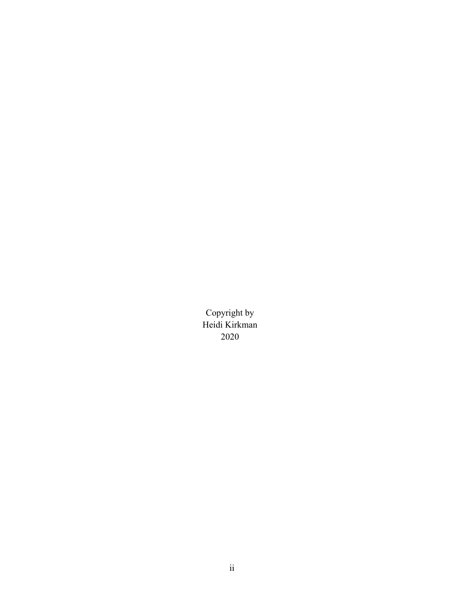Copyright by Heidi Kirkman 2020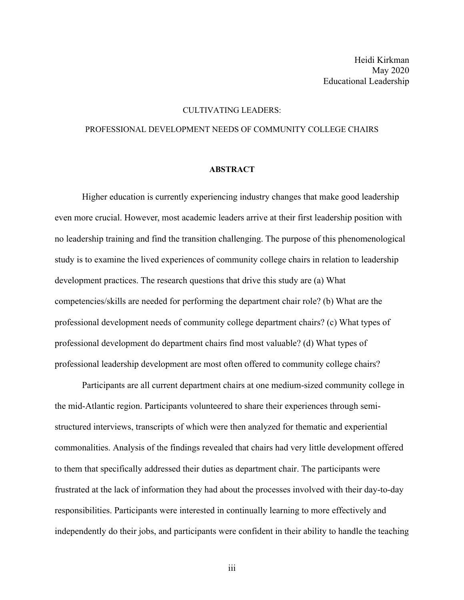### CULTIVATING LEADERS:

# PROFESSIONAL DEVELOPMENT NEEDS OF COMMUNITY COLLEGE CHAIRS

#### **ABSTRACT**

Higher education is currently experiencing industry changes that make good leadership even more crucial. However, most academic leaders arrive at their first leadership position with no leadership training and find the transition challenging. The purpose of this phenomenological study is to examine the lived experiences of community college chairs in relation to leadership development practices. The research questions that drive this study are (a) What competencies/skills are needed for performing the department chair role? (b) What are the professional development needs of community college department chairs? (c) What types of professional development do department chairs find most valuable? (d) What types of professional leadership development are most often offered to community college chairs?

Participants are all current department chairs at one medium-sized community college in the mid-Atlantic region. Participants volunteered to share their experiences through semistructured interviews, transcripts of which were then analyzed for thematic and experiential commonalities. Analysis of the findings revealed that chairs had very little development offered to them that specifically addressed their duties as department chair. The participants were frustrated at the lack of information they had about the processes involved with their day-to-day responsibilities. Participants were interested in continually learning to more effectively and independently do their jobs, and participants were confident in their ability to handle the teaching

iii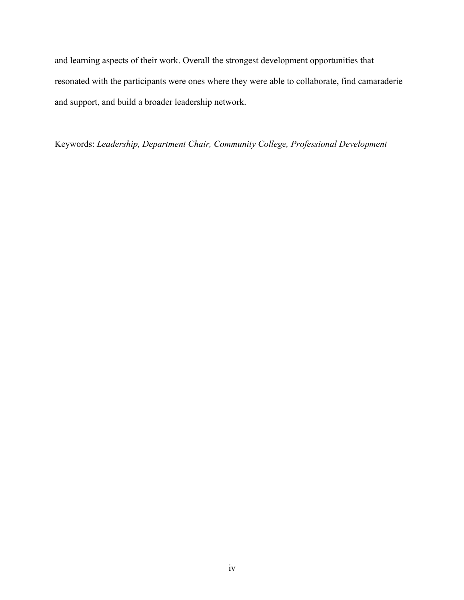and learning aspects of their work. Overall the strongest development opportunities that resonated with the participants were ones where they were able to collaborate, find camaraderie and support, and build a broader leadership network.

Keywords: *Leadership, Department Chair, Community College, Professional Development*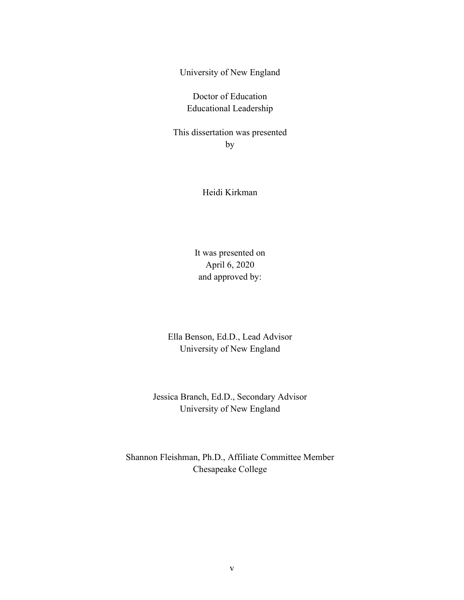University of New England

Doctor of Education Educational Leadership

This dissertation was presented by

Heidi Kirkman

It was presented on April 6, 2020 and approved by:

Ella Benson, Ed.D., Lead Advisor University of New England

Jessica Branch, Ed.D., Secondary Advisor University of New England

Shannon Fleishman, Ph.D., Affiliate Committee Member Chesapeake College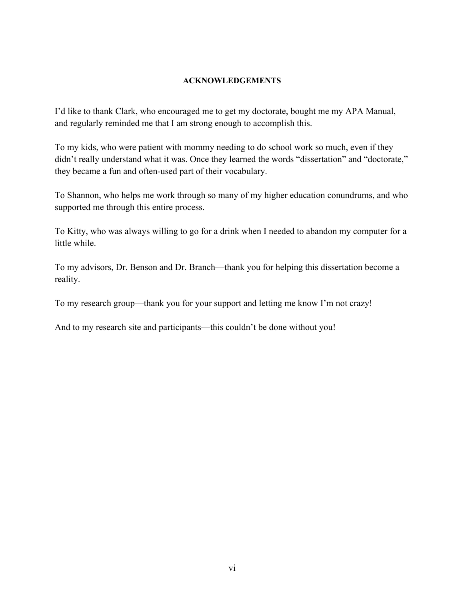# **ACKNOWLEDGEMENTS**

I'd like to thank Clark, who encouraged me to get my doctorate, bought me my APA Manual, and regularly reminded me that I am strong enough to accomplish this.

To my kids, who were patient with mommy needing to do school work so much, even if they didn't really understand what it was. Once they learned the words "dissertation" and "doctorate," they became a fun and often-used part of their vocabulary.

To Shannon, who helps me work through so many of my higher education conundrums, and who supported me through this entire process.

To Kitty, who was always willing to go for a drink when I needed to abandon my computer for a little while.

To my advisors, Dr. Benson and Dr. Branch—thank you for helping this dissertation become a reality.

To my research group—thank you for your support and letting me know I'm not crazy!

And to my research site and participants—this couldn't be done without you!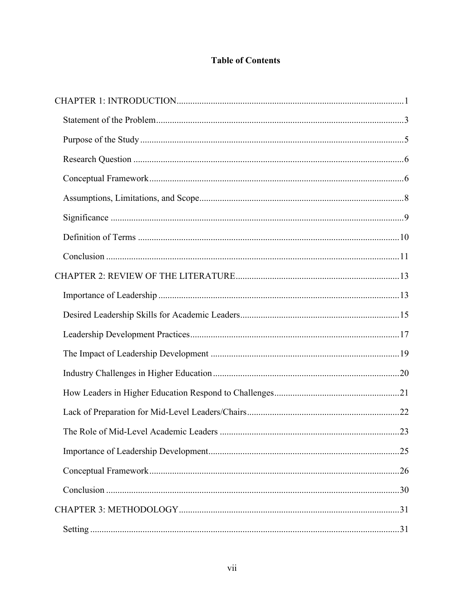# **Table of Contents**

| .23 |
|-----|
|     |
|     |
|     |
|     |
|     |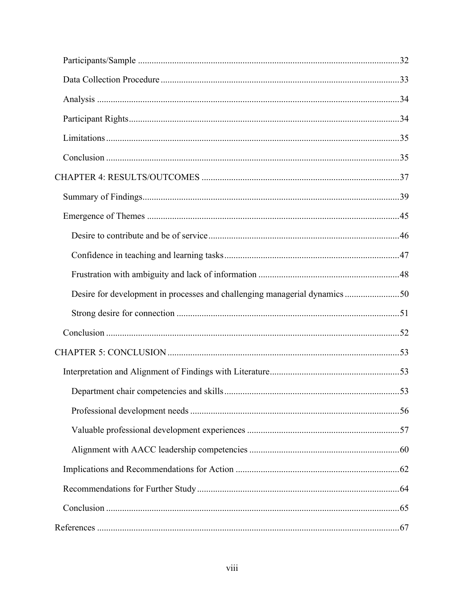| Desire for development in processes and challenging managerial dynamics50 |  |
|---------------------------------------------------------------------------|--|
|                                                                           |  |
|                                                                           |  |
|                                                                           |  |
|                                                                           |  |
|                                                                           |  |
|                                                                           |  |
|                                                                           |  |
|                                                                           |  |
|                                                                           |  |
|                                                                           |  |
|                                                                           |  |
|                                                                           |  |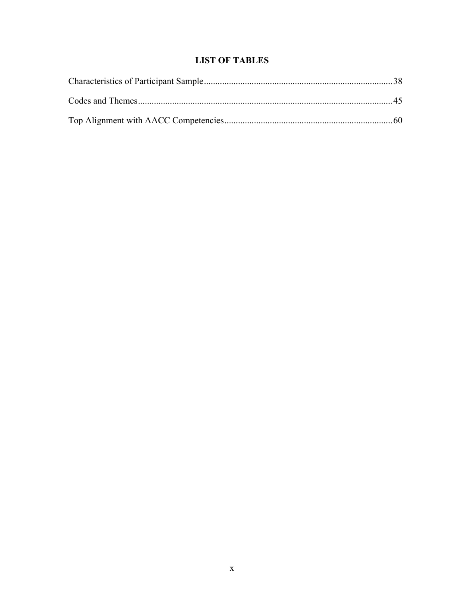# **LIST OF TABLES**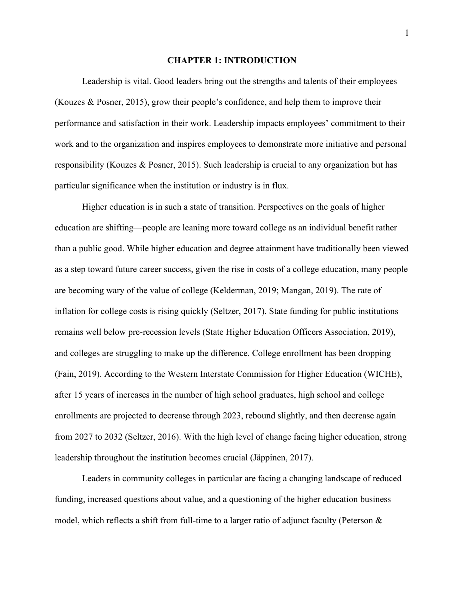### **CHAPTER 1: INTRODUCTION**

Leadership is vital. Good leaders bring out the strengths and talents of their employees (Kouzes & Posner, 2015), grow their people's confidence, and help them to improve their performance and satisfaction in their work. Leadership impacts employees' commitment to their work and to the organization and inspires employees to demonstrate more initiative and personal responsibility (Kouzes & Posner, 2015). Such leadership is crucial to any organization but has particular significance when the institution or industry is in flux.

Higher education is in such a state of transition. Perspectives on the goals of higher education are shifting—people are leaning more toward college as an individual benefit rather than a public good. While higher education and degree attainment have traditionally been viewed as a step toward future career success, given the rise in costs of a college education, many people are becoming wary of the value of college (Kelderman, 2019; Mangan, 2019). The rate of inflation for college costs is rising quickly (Seltzer, 2017). State funding for public institutions remains well below pre-recession levels (State Higher Education Officers Association, 2019), and colleges are struggling to make up the difference. College enrollment has been dropping (Fain, 2019). According to the Western Interstate Commission for Higher Education (WICHE), after 15 years of increases in the number of high school graduates, high school and college enrollments are projected to decrease through 2023, rebound slightly, and then decrease again from 2027 to 2032 (Seltzer, 2016). With the high level of change facing higher education, strong leadership throughout the institution becomes crucial (Jäppinen, 2017).

Leaders in community colleges in particular are facing a changing landscape of reduced funding, increased questions about value, and a questioning of the higher education business model, which reflects a shift from full-time to a larger ratio of adjunct faculty (Peterson &

1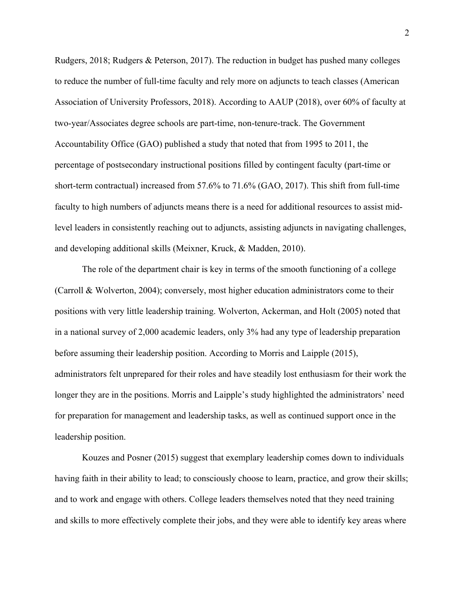Rudgers, 2018; Rudgers & Peterson, 2017). The reduction in budget has pushed many colleges to reduce the number of full-time faculty and rely more on adjuncts to teach classes (American Association of University Professors, 2018). According to AAUP (2018), over 60% of faculty at two-year/Associates degree schools are part-time, non-tenure-track. The Government Accountability Office (GAO) published a study that noted that from 1995 to 2011, the percentage of postsecondary instructional positions filled by contingent faculty (part-time or short-term contractual) increased from 57.6% to 71.6% (GAO, 2017). This shift from full-time faculty to high numbers of adjuncts means there is a need for additional resources to assist midlevel leaders in consistently reaching out to adjuncts, assisting adjuncts in navigating challenges, and developing additional skills (Meixner, Kruck, & Madden, 2010).

The role of the department chair is key in terms of the smooth functioning of a college (Carroll & Wolverton, 2004); conversely, most higher education administrators come to their positions with very little leadership training. Wolverton, Ackerman, and Holt (2005) noted that in a national survey of 2,000 academic leaders, only 3% had any type of leadership preparation before assuming their leadership position. According to Morris and Laipple (2015), administrators felt unprepared for their roles and have steadily lost enthusiasm for their work the longer they are in the positions. Morris and Laipple's study highlighted the administrators' need for preparation for management and leadership tasks, as well as continued support once in the leadership position.

Kouzes and Posner (2015) suggest that exemplary leadership comes down to individuals having faith in their ability to lead; to consciously choose to learn, practice, and grow their skills; and to work and engage with others. College leaders themselves noted that they need training and skills to more effectively complete their jobs, and they were able to identify key areas where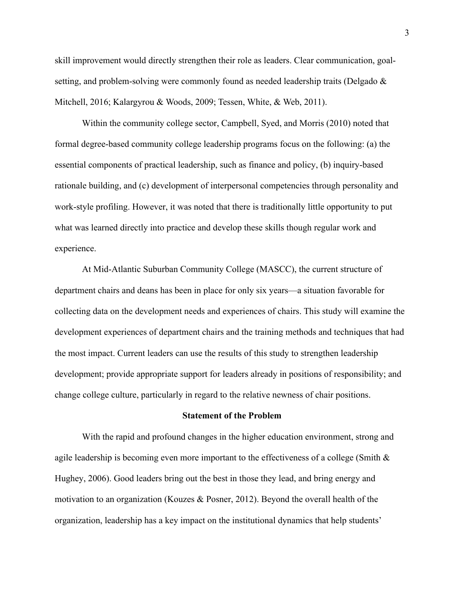skill improvement would directly strengthen their role as leaders. Clear communication, goalsetting, and problem-solving were commonly found as needed leadership traits (Delgado & Mitchell, 2016; Kalargyrou & Woods, 2009; Tessen, White, & Web, 2011).

Within the community college sector, Campbell, Syed, and Morris (2010) noted that formal degree-based community college leadership programs focus on the following: (a) the essential components of practical leadership, such as finance and policy, (b) inquiry-based rationale building, and (c) development of interpersonal competencies through personality and work-style profiling. However, it was noted that there is traditionally little opportunity to put what was learned directly into practice and develop these skills though regular work and experience.

At Mid-Atlantic Suburban Community College (MASCC), the current structure of department chairs and deans has been in place for only six years—a situation favorable for collecting data on the development needs and experiences of chairs. This study will examine the development experiences of department chairs and the training methods and techniques that had the most impact. Current leaders can use the results of this study to strengthen leadership development; provide appropriate support for leaders already in positions of responsibility; and change college culture, particularly in regard to the relative newness of chair positions.

### **Statement of the Problem**

With the rapid and profound changes in the higher education environment, strong and agile leadership is becoming even more important to the effectiveness of a college (Smith & Hughey, 2006). Good leaders bring out the best in those they lead, and bring energy and motivation to an organization (Kouzes & Posner, 2012). Beyond the overall health of the organization, leadership has a key impact on the institutional dynamics that help students'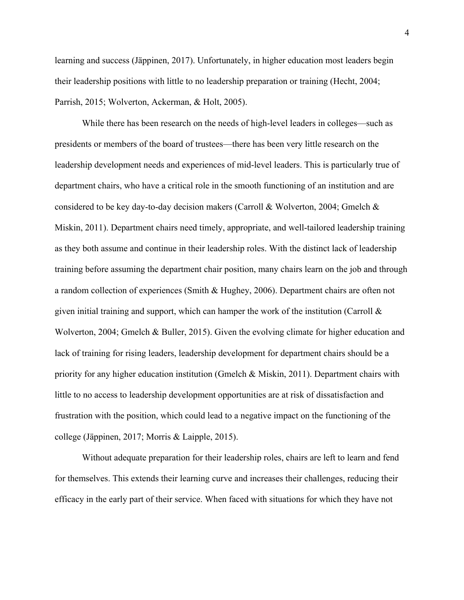learning and success (Jäppinen, 2017). Unfortunately, in higher education most leaders begin their leadership positions with little to no leadership preparation or training (Hecht, 2004; Parrish, 2015; Wolverton, Ackerman, & Holt, 2005).

While there has been research on the needs of high-level leaders in colleges—such as presidents or members of the board of trustees—there has been very little research on the leadership development needs and experiences of mid-level leaders. This is particularly true of department chairs, who have a critical role in the smooth functioning of an institution and are considered to be key day-to-day decision makers (Carroll & Wolverton, 2004; Gmelch & Miskin, 2011). Department chairs need timely, appropriate, and well-tailored leadership training as they both assume and continue in their leadership roles. With the distinct lack of leadership training before assuming the department chair position, many chairs learn on the job and through a random collection of experiences (Smith & Hughey, 2006). Department chairs are often not given initial training and support, which can hamper the work of the institution (Carroll  $\&$ Wolverton, 2004; Gmelch & Buller, 2015). Given the evolving climate for higher education and lack of training for rising leaders, leadership development for department chairs should be a priority for any higher education institution (Gmelch & Miskin, 2011). Department chairs with little to no access to leadership development opportunities are at risk of dissatisfaction and frustration with the position, which could lead to a negative impact on the functioning of the college (Jäppinen, 2017; Morris & Laipple, 2015).

Without adequate preparation for their leadership roles, chairs are left to learn and fend for themselves. This extends their learning curve and increases their challenges, reducing their efficacy in the early part of their service. When faced with situations for which they have not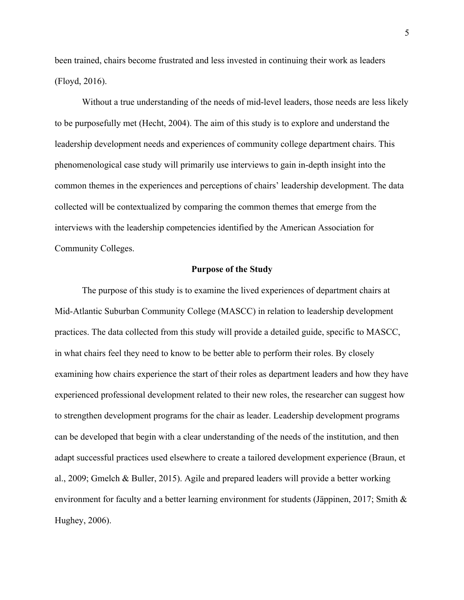been trained, chairs become frustrated and less invested in continuing their work as leaders (Floyd, 2016).

Without a true understanding of the needs of mid-level leaders, those needs are less likely to be purposefully met (Hecht, 2004). The aim of this study is to explore and understand the leadership development needs and experiences of community college department chairs. This phenomenological case study will primarily use interviews to gain in-depth insight into the common themes in the experiences and perceptions of chairs' leadership development. The data collected will be contextualized by comparing the common themes that emerge from the interviews with the leadership competencies identified by the American Association for Community Colleges.

# **Purpose of the Study**

The purpose of this study is to examine the lived experiences of department chairs at Mid-Atlantic Suburban Community College (MASCC) in relation to leadership development practices. The data collected from this study will provide a detailed guide, specific to MASCC, in what chairs feel they need to know to be better able to perform their roles. By closely examining how chairs experience the start of their roles as department leaders and how they have experienced professional development related to their new roles, the researcher can suggest how to strengthen development programs for the chair as leader. Leadership development programs can be developed that begin with a clear understanding of the needs of the institution, and then adapt successful practices used elsewhere to create a tailored development experience (Braun, et al., 2009; Gmelch & Buller, 2015). Agile and prepared leaders will provide a better working environment for faculty and a better learning environment for students (Jäppinen, 2017; Smith & Hughey, 2006).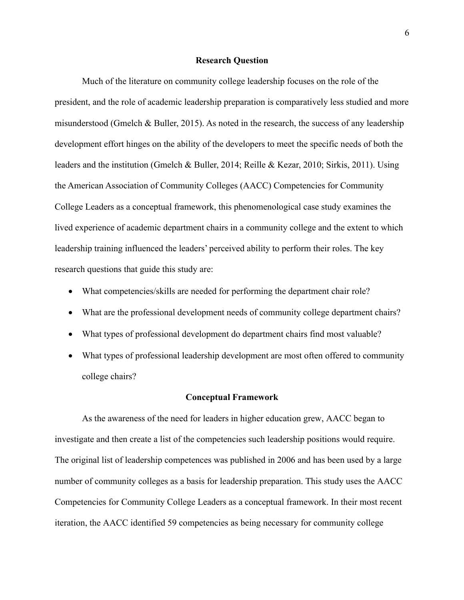#### **Research Question**

Much of the literature on community college leadership focuses on the role of the president, and the role of academic leadership preparation is comparatively less studied and more misunderstood (Gmelch & Buller, 2015). As noted in the research, the success of any leadership development effort hinges on the ability of the developers to meet the specific needs of both the leaders and the institution (Gmelch & Buller, 2014; Reille & Kezar, 2010; Sirkis, 2011). Using the American Association of Community Colleges (AACC) Competencies for Community College Leaders as a conceptual framework, this phenomenological case study examines the lived experience of academic department chairs in a community college and the extent to which leadership training influenced the leaders' perceived ability to perform their roles. The key research questions that guide this study are:

- What competencies/skills are needed for performing the department chair role?
- What are the professional development needs of community college department chairs?
- What types of professional development do department chairs find most valuable?
- What types of professional leadership development are most often offered to community college chairs?

# **Conceptual Framework**

As the awareness of the need for leaders in higher education grew, AACC began to investigate and then create a list of the competencies such leadership positions would require. The original list of leadership competences was published in 2006 and has been used by a large number of community colleges as a basis for leadership preparation. This study uses the AACC Competencies for Community College Leaders as a conceptual framework. In their most recent iteration, the AACC identified 59 competencies as being necessary for community college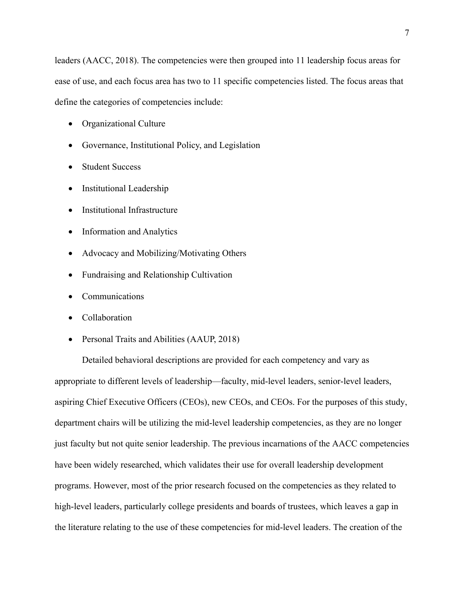leaders (AACC, 2018). The competencies were then grouped into 11 leadership focus areas for ease of use, and each focus area has two to 11 specific competencies listed. The focus areas that define the categories of competencies include:

- Organizational Culture
- Governance, Institutional Policy, and Legislation
- Student Success
- **Institutional Leadership**
- Institutional Infrastructure
- Information and Analytics
- Advocacy and Mobilizing/Motivating Others
- Fundraising and Relationship Cultivation
- **Communications**
- Collaboration
- Personal Traits and Abilities (AAUP, 2018)

Detailed behavioral descriptions are provided for each competency and vary as appropriate to different levels of leadership—faculty, mid-level leaders, senior-level leaders, aspiring Chief Executive Officers (CEOs), new CEOs, and CEOs. For the purposes of this study, department chairs will be utilizing the mid-level leadership competencies, as they are no longer just faculty but not quite senior leadership. The previous incarnations of the AACC competencies have been widely researched, which validates their use for overall leadership development programs. However, most of the prior research focused on the competencies as they related to high-level leaders, particularly college presidents and boards of trustees, which leaves a gap in the literature relating to the use of these competencies for mid-level leaders. The creation of the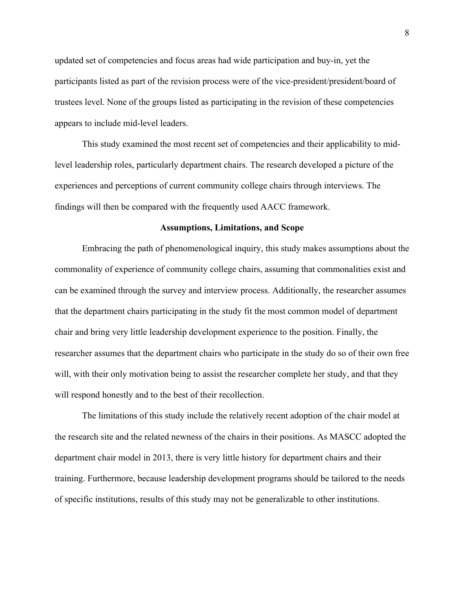updated set of competencies and focus areas had wide participation and buy-in, yet the participants listed as part of the revision process were of the vice-president/president/board of trustees level. None of the groups listed as participating in the revision of these competencies appears to include mid-level leaders.

This study examined the most recent set of competencies and their applicability to midlevel leadership roles, particularly department chairs. The research developed a picture of the experiences and perceptions of current community college chairs through interviews. The findings will then be compared with the frequently used AACC framework.

#### **Assumptions, Limitations, and Scope**

Embracing the path of phenomenological inquiry, this study makes assumptions about the commonality of experience of community college chairs, assuming that commonalities exist and can be examined through the survey and interview process. Additionally, the researcher assumes that the department chairs participating in the study fit the most common model of department chair and bring very little leadership development experience to the position. Finally, the researcher assumes that the department chairs who participate in the study do so of their own free will, with their only motivation being to assist the researcher complete her study, and that they will respond honestly and to the best of their recollection.

The limitations of this study include the relatively recent adoption of the chair model at the research site and the related newness of the chairs in their positions. As MASCC adopted the department chair model in 2013, there is very little history for department chairs and their training. Furthermore, because leadership development programs should be tailored to the needs of specific institutions, results of this study may not be generalizable to other institutions.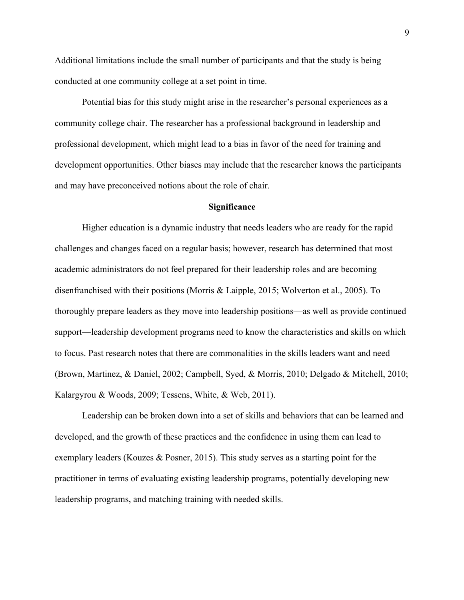Additional limitations include the small number of participants and that the study is being conducted at one community college at a set point in time.

Potential bias for this study might arise in the researcher's personal experiences as a community college chair. The researcher has a professional background in leadership and professional development, which might lead to a bias in favor of the need for training and development opportunities. Other biases may include that the researcher knows the participants and may have preconceived notions about the role of chair.

#### **Significance**

Higher education is a dynamic industry that needs leaders who are ready for the rapid challenges and changes faced on a regular basis; however, research has determined that most academic administrators do not feel prepared for their leadership roles and are becoming disenfranchised with their positions (Morris & Laipple, 2015; Wolverton et al., 2005). To thoroughly prepare leaders as they move into leadership positions—as well as provide continued support—leadership development programs need to know the characteristics and skills on which to focus. Past research notes that there are commonalities in the skills leaders want and need (Brown, Martinez, & Daniel, 2002; Campbell, Syed, & Morris, 2010; Delgado & Mitchell, 2010; Kalargyrou & Woods, 2009; Tessens, White, & Web, 2011).

Leadership can be broken down into a set of skills and behaviors that can be learned and developed, and the growth of these practices and the confidence in using them can lead to exemplary leaders (Kouzes & Posner, 2015). This study serves as a starting point for the practitioner in terms of evaluating existing leadership programs, potentially developing new leadership programs, and matching training with needed skills.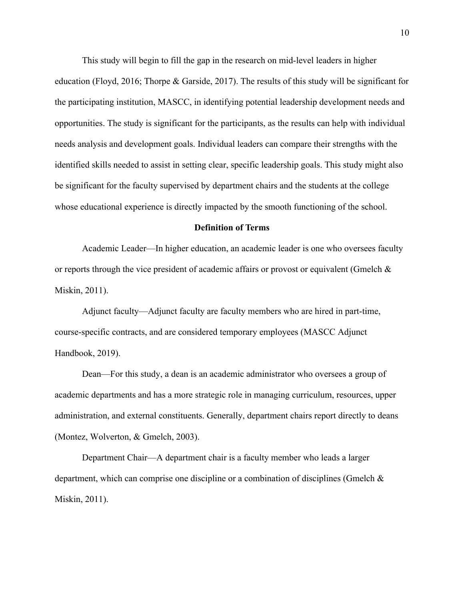This study will begin to fill the gap in the research on mid-level leaders in higher education (Floyd, 2016; Thorpe & Garside, 2017). The results of this study will be significant for the participating institution, MASCC, in identifying potential leadership development needs and opportunities. The study is significant for the participants, as the results can help with individual needs analysis and development goals. Individual leaders can compare their strengths with the identified skills needed to assist in setting clear, specific leadership goals. This study might also be significant for the faculty supervised by department chairs and the students at the college whose educational experience is directly impacted by the smooth functioning of the school.

### **Definition of Terms**

Academic Leader—In higher education, an academic leader is one who oversees faculty or reports through the vice president of academic affairs or provost or equivalent (Gmelch  $\&$ Miskin, 2011).

Adjunct faculty—Adjunct faculty are faculty members who are hired in part-time, course-specific contracts, and are considered temporary employees (MASCC Adjunct Handbook, 2019).

Dean—For this study, a dean is an academic administrator who oversees a group of academic departments and has a more strategic role in managing curriculum, resources, upper administration, and external constituents. Generally, department chairs report directly to deans (Montez, Wolverton, & Gmelch, 2003).

Department Chair—A department chair is a faculty member who leads a larger department, which can comprise one discipline or a combination of disciplines (Gmelch & Miskin, 2011).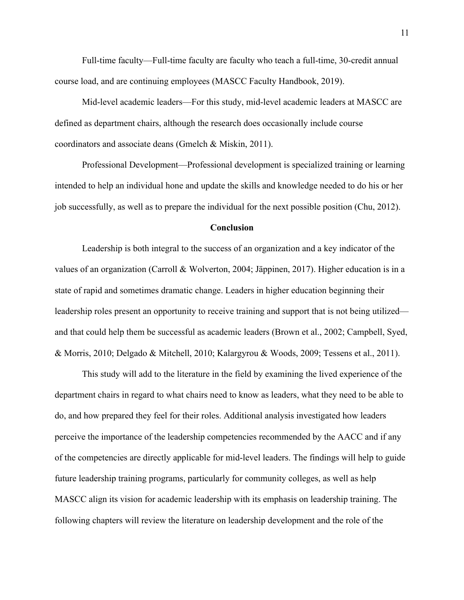Full-time faculty—Full-time faculty are faculty who teach a full-time, 30-credit annual course load, and are continuing employees (MASCC Faculty Handbook, 2019).

Mid-level academic leaders—For this study, mid-level academic leaders at MASCC are defined as department chairs, although the research does occasionally include course coordinators and associate deans (Gmelch & Miskin, 2011).

Professional Development—Professional development is specialized training or learning intended to help an individual hone and update the skills and knowledge needed to do his or her job successfully, as well as to prepare the individual for the next possible position (Chu, 2012).

# **Conclusion**

Leadership is both integral to the success of an organization and a key indicator of the values of an organization (Carroll & Wolverton, 2004; Jäppinen, 2017). Higher education is in a state of rapid and sometimes dramatic change. Leaders in higher education beginning their leadership roles present an opportunity to receive training and support that is not being utilized and that could help them be successful as academic leaders (Brown et al., 2002; Campbell, Syed, & Morris, 2010; Delgado & Mitchell, 2010; Kalargyrou & Woods, 2009; Tessens et al., 2011).

This study will add to the literature in the field by examining the lived experience of the department chairs in regard to what chairs need to know as leaders, what they need to be able to do, and how prepared they feel for their roles. Additional analysis investigated how leaders perceive the importance of the leadership competencies recommended by the AACC and if any of the competencies are directly applicable for mid-level leaders. The findings will help to guide future leadership training programs, particularly for community colleges, as well as help MASCC align its vision for academic leadership with its emphasis on leadership training. The following chapters will review the literature on leadership development and the role of the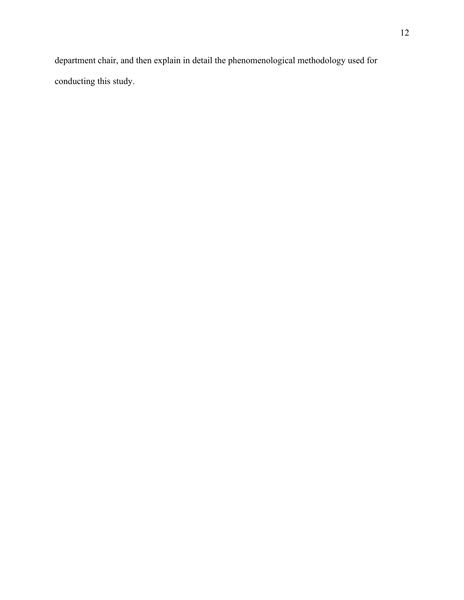department chair, and then explain in detail the phenomenological methodology used for conducting this study.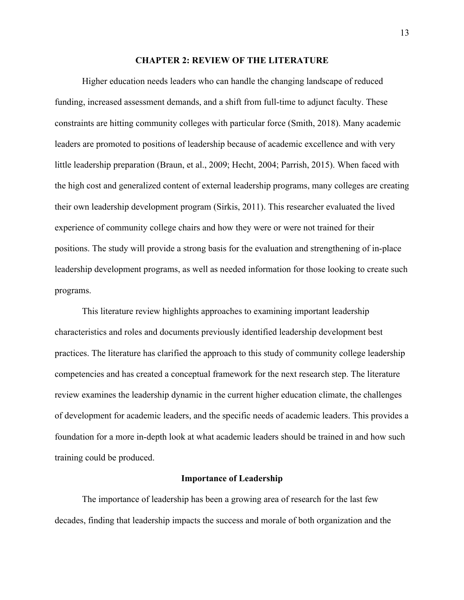### **CHAPTER 2: REVIEW OF THE LITERATURE**

Higher education needs leaders who can handle the changing landscape of reduced funding, increased assessment demands, and a shift from full-time to adjunct faculty. These constraints are hitting community colleges with particular force (Smith, 2018). Many academic leaders are promoted to positions of leadership because of academic excellence and with very little leadership preparation (Braun, et al., 2009; Hecht, 2004; Parrish, 2015). When faced with the high cost and generalized content of external leadership programs, many colleges are creating their own leadership development program (Sirkis, 2011). This researcher evaluated the lived experience of community college chairs and how they were or were not trained for their positions. The study will provide a strong basis for the evaluation and strengthening of in-place leadership development programs, as well as needed information for those looking to create such programs.

This literature review highlights approaches to examining important leadership characteristics and roles and documents previously identified leadership development best practices. The literature has clarified the approach to this study of community college leadership competencies and has created a conceptual framework for the next research step. The literature review examines the leadership dynamic in the current higher education climate, the challenges of development for academic leaders, and the specific needs of academic leaders. This provides a foundation for a more in-depth look at what academic leaders should be trained in and how such training could be produced.

### **Importance of Leadership**

The importance of leadership has been a growing area of research for the last few decades, finding that leadership impacts the success and morale of both organization and the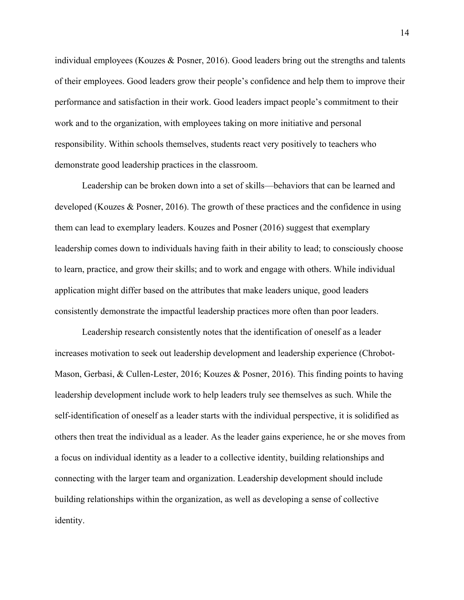individual employees (Kouzes & Posner, 2016). Good leaders bring out the strengths and talents of their employees. Good leaders grow their people's confidence and help them to improve their performance and satisfaction in their work. Good leaders impact people's commitment to their work and to the organization, with employees taking on more initiative and personal responsibility. Within schools themselves, students react very positively to teachers who demonstrate good leadership practices in the classroom.

Leadership can be broken down into a set of skills—behaviors that can be learned and developed (Kouzes & Posner, 2016). The growth of these practices and the confidence in using them can lead to exemplary leaders. Kouzes and Posner (2016) suggest that exemplary leadership comes down to individuals having faith in their ability to lead; to consciously choose to learn, practice, and grow their skills; and to work and engage with others. While individual application might differ based on the attributes that make leaders unique, good leaders consistently demonstrate the impactful leadership practices more often than poor leaders.

Leadership research consistently notes that the identification of oneself as a leader increases motivation to seek out leadership development and leadership experience (Chrobot-Mason, Gerbasi, & Cullen-Lester, 2016; Kouzes & Posner, 2016). This finding points to having leadership development include work to help leaders truly see themselves as such. While the self-identification of oneself as a leader starts with the individual perspective, it is solidified as others then treat the individual as a leader. As the leader gains experience, he or she moves from a focus on individual identity as a leader to a collective identity, building relationships and connecting with the larger team and organization. Leadership development should include building relationships within the organization, as well as developing a sense of collective identity.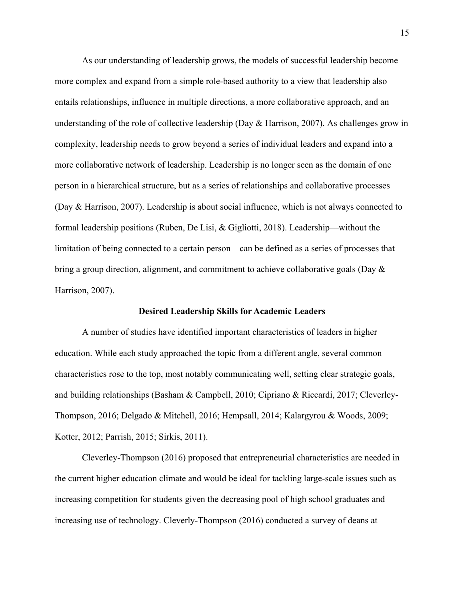As our understanding of leadership grows, the models of successful leadership become more complex and expand from a simple role-based authority to a view that leadership also entails relationships, influence in multiple directions, a more collaborative approach, and an understanding of the role of collective leadership (Day & Harrison, 2007). As challenges grow in complexity, leadership needs to grow beyond a series of individual leaders and expand into a more collaborative network of leadership. Leadership is no longer seen as the domain of one person in a hierarchical structure, but as a series of relationships and collaborative processes (Day & Harrison, 2007). Leadership is about social influence, which is not always connected to formal leadership positions (Ruben, De Lisi, & Gigliotti, 2018). Leadership—without the limitation of being connected to a certain person—can be defined as a series of processes that bring a group direction, alignment, and commitment to achieve collaborative goals (Day & Harrison, 2007).

#### **Desired Leadership Skills for Academic Leaders**

A number of studies have identified important characteristics of leaders in higher education. While each study approached the topic from a different angle, several common characteristics rose to the top, most notably communicating well, setting clear strategic goals, and building relationships (Basham & Campbell, 2010; Cipriano & Riccardi, 2017; Cleverley-Thompson, 2016; Delgado & Mitchell, 2016; Hempsall, 2014; Kalargyrou & Woods, 2009; Kotter, 2012; Parrish, 2015; Sirkis, 2011).

Cleverley-Thompson (2016) proposed that entrepreneurial characteristics are needed in the current higher education climate and would be ideal for tackling large-scale issues such as increasing competition for students given the decreasing pool of high school graduates and increasing use of technology. Cleverly-Thompson (2016) conducted a survey of deans at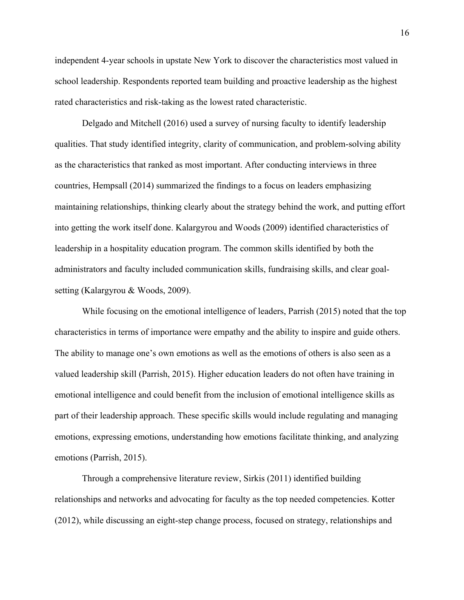independent 4-year schools in upstate New York to discover the characteristics most valued in school leadership. Respondents reported team building and proactive leadership as the highest rated characteristics and risk-taking as the lowest rated characteristic.

Delgado and Mitchell (2016) used a survey of nursing faculty to identify leadership qualities. That study identified integrity, clarity of communication, and problem-solving ability as the characteristics that ranked as most important. After conducting interviews in three countries, Hempsall (2014) summarized the findings to a focus on leaders emphasizing maintaining relationships, thinking clearly about the strategy behind the work, and putting effort into getting the work itself done. Kalargyrou and Woods (2009) identified characteristics of leadership in a hospitality education program. The common skills identified by both the administrators and faculty included communication skills, fundraising skills, and clear goalsetting (Kalargyrou & Woods, 2009).

While focusing on the emotional intelligence of leaders, Parrish (2015) noted that the top characteristics in terms of importance were empathy and the ability to inspire and guide others. The ability to manage one's own emotions as well as the emotions of others is also seen as a valued leadership skill (Parrish, 2015). Higher education leaders do not often have training in emotional intelligence and could benefit from the inclusion of emotional intelligence skills as part of their leadership approach. These specific skills would include regulating and managing emotions, expressing emotions, understanding how emotions facilitate thinking, and analyzing emotions (Parrish, 2015).

Through a comprehensive literature review, Sirkis (2011) identified building relationships and networks and advocating for faculty as the top needed competencies. Kotter (2012), while discussing an eight-step change process, focused on strategy, relationships and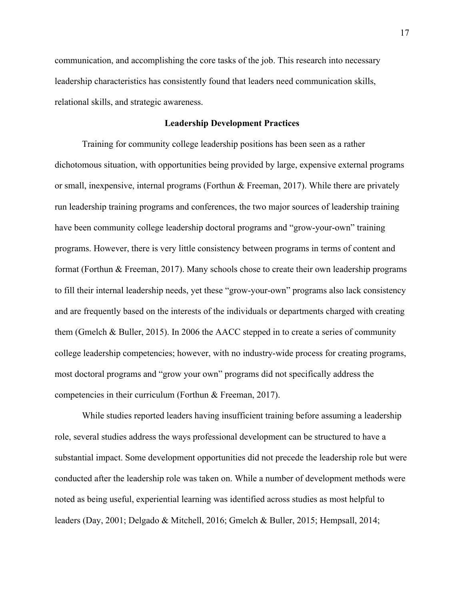communication, and accomplishing the core tasks of the job. This research into necessary leadership characteristics has consistently found that leaders need communication skills, relational skills, and strategic awareness.

# **Leadership Development Practices**

Training for community college leadership positions has been seen as a rather dichotomous situation, with opportunities being provided by large, expensive external programs or small, inexpensive, internal programs (Forthun & Freeman, 2017). While there are privately run leadership training programs and conferences, the two major sources of leadership training have been community college leadership doctoral programs and "grow-your-own" training programs. However, there is very little consistency between programs in terms of content and format (Forthun & Freeman, 2017). Many schools chose to create their own leadership programs to fill their internal leadership needs, yet these "grow-your-own" programs also lack consistency and are frequently based on the interests of the individuals or departments charged with creating them (Gmelch & Buller, 2015). In 2006 the AACC stepped in to create a series of community college leadership competencies; however, with no industry-wide process for creating programs, most doctoral programs and "grow your own" programs did not specifically address the competencies in their curriculum (Forthun & Freeman, 2017).

While studies reported leaders having insufficient training before assuming a leadership role, several studies address the ways professional development can be structured to have a substantial impact. Some development opportunities did not precede the leadership role but were conducted after the leadership role was taken on. While a number of development methods were noted as being useful, experiential learning was identified across studies as most helpful to leaders (Day, 2001; Delgado & Mitchell, 2016; Gmelch & Buller, 2015; Hempsall, 2014;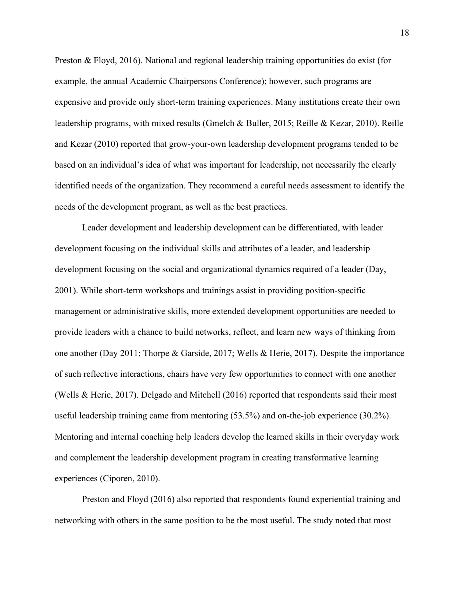Preston & Floyd, 2016). National and regional leadership training opportunities do exist (for example, the annual Academic Chairpersons Conference); however, such programs are expensive and provide only short-term training experiences. Many institutions create their own leadership programs, with mixed results (Gmelch & Buller, 2015; Reille & Kezar, 2010). Reille and Kezar (2010) reported that grow-your-own leadership development programs tended to be based on an individual's idea of what was important for leadership, not necessarily the clearly identified needs of the organization. They recommend a careful needs assessment to identify the needs of the development program, as well as the best practices.

Leader development and leadership development can be differentiated, with leader development focusing on the individual skills and attributes of a leader, and leadership development focusing on the social and organizational dynamics required of a leader (Day, 2001). While short-term workshops and trainings assist in providing position-specific management or administrative skills, more extended development opportunities are needed to provide leaders with a chance to build networks, reflect, and learn new ways of thinking from one another (Day 2011; Thorpe & Garside, 2017; Wells & Herie, 2017). Despite the importance of such reflective interactions, chairs have very few opportunities to connect with one another (Wells & Herie, 2017). Delgado and Mitchell (2016) reported that respondents said their most useful leadership training came from mentoring (53.5%) and on-the-job experience (30.2%). Mentoring and internal coaching help leaders develop the learned skills in their everyday work and complement the leadership development program in creating transformative learning experiences (Ciporen, 2010).

Preston and Floyd (2016) also reported that respondents found experiential training and networking with others in the same position to be the most useful. The study noted that most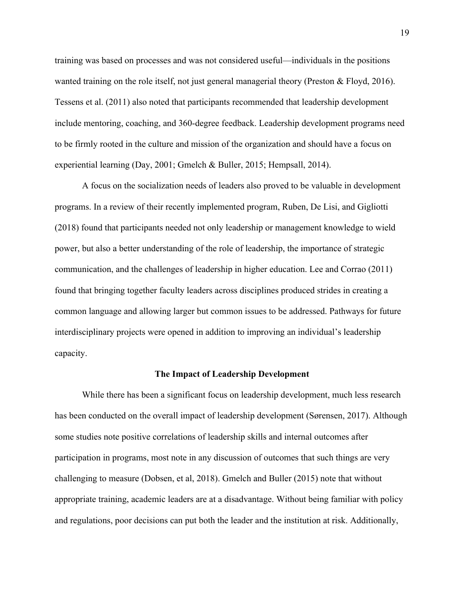training was based on processes and was not considered useful—individuals in the positions wanted training on the role itself, not just general managerial theory (Preston & Floyd, 2016). Tessens et al. (2011) also noted that participants recommended that leadership development include mentoring, coaching, and 360-degree feedback. Leadership development programs need to be firmly rooted in the culture and mission of the organization and should have a focus on experiential learning (Day, 2001; Gmelch & Buller, 2015; Hempsall, 2014).

A focus on the socialization needs of leaders also proved to be valuable in development programs. In a review of their recently implemented program, Ruben, De Lisi, and Gigliotti (2018) found that participants needed not only leadership or management knowledge to wield power, but also a better understanding of the role of leadership, the importance of strategic communication, and the challenges of leadership in higher education. Lee and Corrao (2011) found that bringing together faculty leaders across disciplines produced strides in creating a common language and allowing larger but common issues to be addressed. Pathways for future interdisciplinary projects were opened in addition to improving an individual's leadership capacity.

#### **The Impact of Leadership Development**

While there has been a significant focus on leadership development, much less research has been conducted on the overall impact of leadership development (Sørensen, 2017). Although some studies note positive correlations of leadership skills and internal outcomes after participation in programs, most note in any discussion of outcomes that such things are very challenging to measure (Dobsen, et al, 2018). Gmelch and Buller (2015) note that without appropriate training, academic leaders are at a disadvantage. Without being familiar with policy and regulations, poor decisions can put both the leader and the institution at risk. Additionally,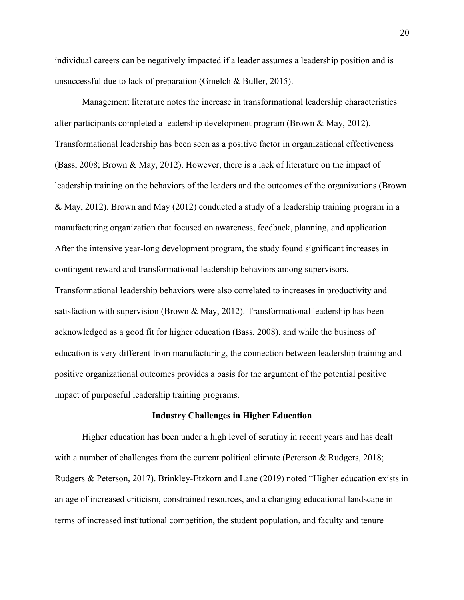individual careers can be negatively impacted if a leader assumes a leadership position and is unsuccessful due to lack of preparation (Gmelch & Buller, 2015).

Management literature notes the increase in transformational leadership characteristics after participants completed a leadership development program (Brown & May, 2012). Transformational leadership has been seen as a positive factor in organizational effectiveness (Bass, 2008; Brown & May, 2012). However, there is a lack of literature on the impact of leadership training on the behaviors of the leaders and the outcomes of the organizations (Brown & May, 2012). Brown and May (2012) conducted a study of a leadership training program in a manufacturing organization that focused on awareness, feedback, planning, and application. After the intensive year-long development program, the study found significant increases in contingent reward and transformational leadership behaviors among supervisors. Transformational leadership behaviors were also correlated to increases in productivity and satisfaction with supervision (Brown & May, 2012). Transformational leadership has been acknowledged as a good fit for higher education (Bass, 2008), and while the business of education is very different from manufacturing, the connection between leadership training and positive organizational outcomes provides a basis for the argument of the potential positive impact of purposeful leadership training programs.

#### **Industry Challenges in Higher Education**

Higher education has been under a high level of scrutiny in recent years and has dealt with a number of challenges from the current political climate (Peterson & Rudgers, 2018; Rudgers & Peterson, 2017). Brinkley-Etzkorn and Lane (2019) noted "Higher education exists in an age of increased criticism, constrained resources, and a changing educational landscape in terms of increased institutional competition, the student population, and faculty and tenure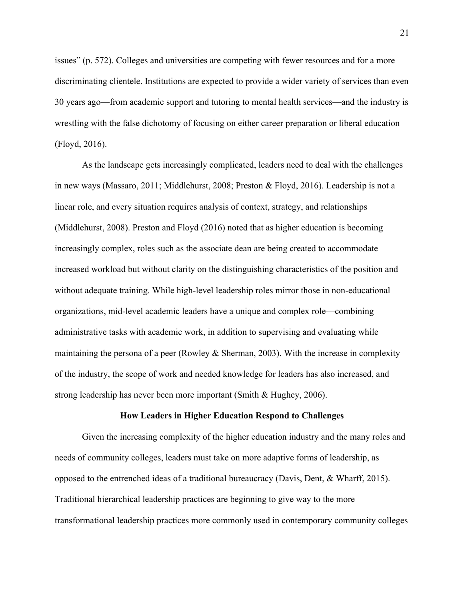issues" (p. 572). Colleges and universities are competing with fewer resources and for a more discriminating clientele. Institutions are expected to provide a wider variety of services than even 30 years ago—from academic support and tutoring to mental health services—and the industry is wrestling with the false dichotomy of focusing on either career preparation or liberal education (Floyd, 2016).

As the landscape gets increasingly complicated, leaders need to deal with the challenges in new ways (Massaro, 2011; Middlehurst, 2008; Preston & Floyd, 2016). Leadership is not a linear role, and every situation requires analysis of context, strategy, and relationships (Middlehurst, 2008). Preston and Floyd (2016) noted that as higher education is becoming increasingly complex, roles such as the associate dean are being created to accommodate increased workload but without clarity on the distinguishing characteristics of the position and without adequate training. While high-level leadership roles mirror those in non-educational organizations, mid-level academic leaders have a unique and complex role—combining administrative tasks with academic work, in addition to supervising and evaluating while maintaining the persona of a peer (Rowley & Sherman, 2003). With the increase in complexity of the industry, the scope of work and needed knowledge for leaders has also increased, and strong leadership has never been more important (Smith & Hughey, 2006).

#### **How Leaders in Higher Education Respond to Challenges**

Given the increasing complexity of the higher education industry and the many roles and needs of community colleges, leaders must take on more adaptive forms of leadership, as opposed to the entrenched ideas of a traditional bureaucracy (Davis, Dent, & Wharff, 2015). Traditional hierarchical leadership practices are beginning to give way to the more transformational leadership practices more commonly used in contemporary community colleges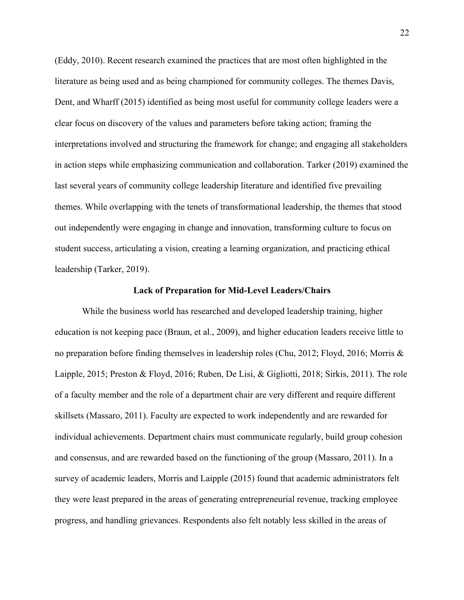(Eddy, 2010). Recent research examined the practices that are most often highlighted in the literature as being used and as being championed for community colleges. The themes Davis, Dent, and Wharff (2015) identified as being most useful for community college leaders were a clear focus on discovery of the values and parameters before taking action; framing the interpretations involved and structuring the framework for change; and engaging all stakeholders in action steps while emphasizing communication and collaboration. Tarker (2019) examined the last several years of community college leadership literature and identified five prevailing themes. While overlapping with the tenets of transformational leadership, the themes that stood out independently were engaging in change and innovation, transforming culture to focus on student success, articulating a vision, creating a learning organization, and practicing ethical leadership (Tarker, 2019).

#### **Lack of Preparation for Mid-Level Leaders/Chairs**

While the business world has researched and developed leadership training, higher education is not keeping pace (Braun, et al., 2009), and higher education leaders receive little to no preparation before finding themselves in leadership roles (Chu, 2012; Floyd, 2016; Morris & Laipple, 2015; Preston & Floyd, 2016; Ruben, De Lisi, & Gigliotti, 2018; Sirkis, 2011). The role of a faculty member and the role of a department chair are very different and require different skillsets (Massaro, 2011). Faculty are expected to work independently and are rewarded for individual achievements. Department chairs must communicate regularly, build group cohesion and consensus, and are rewarded based on the functioning of the group (Massaro, 2011). In a survey of academic leaders, Morris and Laipple (2015) found that academic administrators felt they were least prepared in the areas of generating entrepreneurial revenue, tracking employee progress, and handling grievances. Respondents also felt notably less skilled in the areas of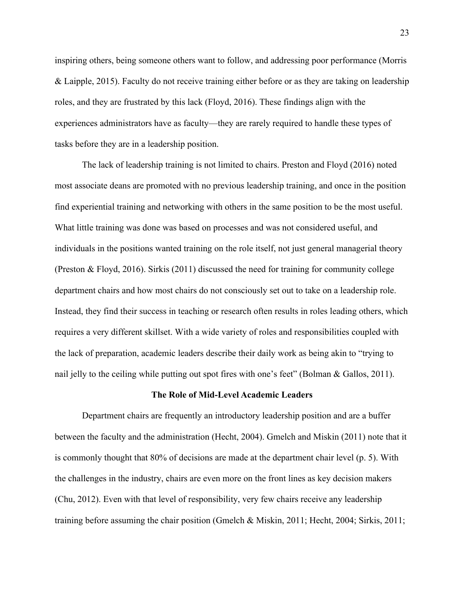inspiring others, being someone others want to follow, and addressing poor performance (Morris & Laipple, 2015). Faculty do not receive training either before or as they are taking on leadership roles, and they are frustrated by this lack (Floyd, 2016). These findings align with the experiences administrators have as faculty—they are rarely required to handle these types of tasks before they are in a leadership position.

The lack of leadership training is not limited to chairs. Preston and Floyd (2016) noted most associate deans are promoted with no previous leadership training, and once in the position find experiential training and networking with others in the same position to be the most useful. What little training was done was based on processes and was not considered useful, and individuals in the positions wanted training on the role itself, not just general managerial theory (Preston & Floyd, 2016). Sirkis (2011) discussed the need for training for community college department chairs and how most chairs do not consciously set out to take on a leadership role. Instead, they find their success in teaching or research often results in roles leading others, which requires a very different skillset. With a wide variety of roles and responsibilities coupled with the lack of preparation, academic leaders describe their daily work as being akin to "trying to nail jelly to the ceiling while putting out spot fires with one's feet" (Bolman & Gallos, 2011).

#### **The Role of Mid-Level Academic Leaders**

Department chairs are frequently an introductory leadership position and are a buffer between the faculty and the administration (Hecht, 2004). Gmelch and Miskin (2011) note that it is commonly thought that 80% of decisions are made at the department chair level (p. 5). With the challenges in the industry, chairs are even more on the front lines as key decision makers (Chu, 2012). Even with that level of responsibility, very few chairs receive any leadership training before assuming the chair position (Gmelch & Miskin, 2011; Hecht, 2004; Sirkis, 2011;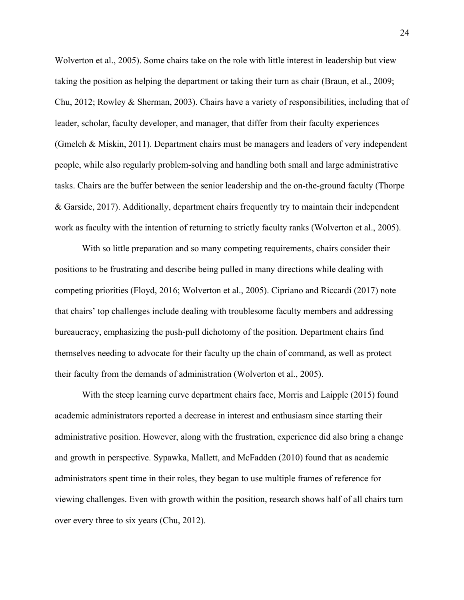Wolverton et al., 2005). Some chairs take on the role with little interest in leadership but view taking the position as helping the department or taking their turn as chair (Braun, et al., 2009; Chu, 2012; Rowley & Sherman, 2003). Chairs have a variety of responsibilities, including that of leader, scholar, faculty developer, and manager, that differ from their faculty experiences (Gmelch & Miskin, 2011). Department chairs must be managers and leaders of very independent people, while also regularly problem-solving and handling both small and large administrative tasks. Chairs are the buffer between the senior leadership and the on-the-ground faculty (Thorpe & Garside, 2017). Additionally, department chairs frequently try to maintain their independent work as faculty with the intention of returning to strictly faculty ranks (Wolverton et al., 2005).

With so little preparation and so many competing requirements, chairs consider their positions to be frustrating and describe being pulled in many directions while dealing with competing priorities (Floyd, 2016; Wolverton et al., 2005). Cipriano and Riccardi (2017) note that chairs' top challenges include dealing with troublesome faculty members and addressing bureaucracy, emphasizing the push-pull dichotomy of the position. Department chairs find themselves needing to advocate for their faculty up the chain of command, as well as protect their faculty from the demands of administration (Wolverton et al., 2005).

With the steep learning curve department chairs face, Morris and Laipple (2015) found academic administrators reported a decrease in interest and enthusiasm since starting their administrative position. However, along with the frustration, experience did also bring a change and growth in perspective. Sypawka, Mallett, and McFadden (2010) found that as academic administrators spent time in their roles, they began to use multiple frames of reference for viewing challenges. Even with growth within the position, research shows half of all chairs turn over every three to six years (Chu, 2012).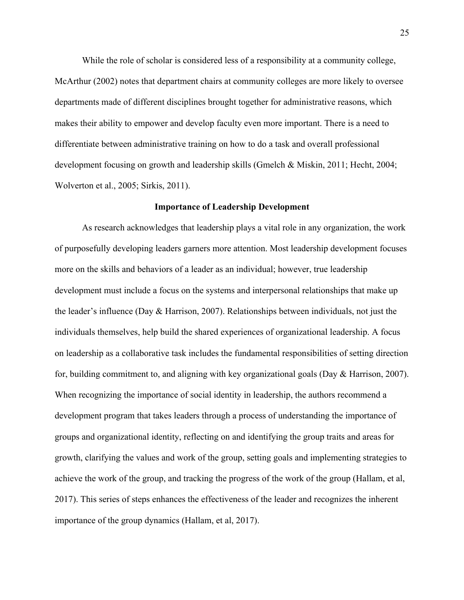While the role of scholar is considered less of a responsibility at a community college, McArthur (2002) notes that department chairs at community colleges are more likely to oversee departments made of different disciplines brought together for administrative reasons, which makes their ability to empower and develop faculty even more important. There is a need to differentiate between administrative training on how to do a task and overall professional development focusing on growth and leadership skills (Gmelch & Miskin, 2011; Hecht, 2004; Wolverton et al., 2005; Sirkis, 2011).

### **Importance of Leadership Development**

As research acknowledges that leadership plays a vital role in any organization, the work of purposefully developing leaders garners more attention. Most leadership development focuses more on the skills and behaviors of a leader as an individual; however, true leadership development must include a focus on the systems and interpersonal relationships that make up the leader's influence (Day & Harrison, 2007). Relationships between individuals, not just the individuals themselves, help build the shared experiences of organizational leadership. A focus on leadership as a collaborative task includes the fundamental responsibilities of setting direction for, building commitment to, and aligning with key organizational goals (Day & Harrison, 2007). When recognizing the importance of social identity in leadership, the authors recommend a development program that takes leaders through a process of understanding the importance of groups and organizational identity, reflecting on and identifying the group traits and areas for growth, clarifying the values and work of the group, setting goals and implementing strategies to achieve the work of the group, and tracking the progress of the work of the group (Hallam, et al, 2017). This series of steps enhances the effectiveness of the leader and recognizes the inherent importance of the group dynamics (Hallam, et al, 2017).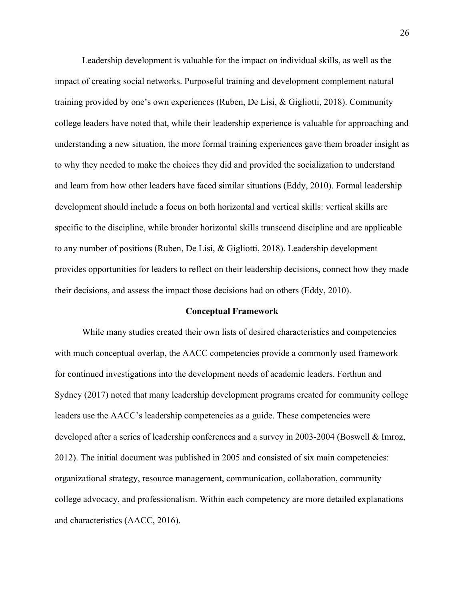Leadership development is valuable for the impact on individual skills, as well as the impact of creating social networks. Purposeful training and development complement natural training provided by one's own experiences (Ruben, De Lisi, & Gigliotti, 2018). Community college leaders have noted that, while their leadership experience is valuable for approaching and understanding a new situation, the more formal training experiences gave them broader insight as to why they needed to make the choices they did and provided the socialization to understand and learn from how other leaders have faced similar situations (Eddy, 2010). Formal leadership development should include a focus on both horizontal and vertical skills: vertical skills are specific to the discipline, while broader horizontal skills transcend discipline and are applicable to any number of positions (Ruben, De Lisi, & Gigliotti, 2018). Leadership development provides opportunities for leaders to reflect on their leadership decisions, connect how they made their decisions, and assess the impact those decisions had on others (Eddy, 2010).

#### **Conceptual Framework**

While many studies created their own lists of desired characteristics and competencies with much conceptual overlap, the AACC competencies provide a commonly used framework for continued investigations into the development needs of academic leaders. Forthun and Sydney (2017) noted that many leadership development programs created for community college leaders use the AACC's leadership competencies as a guide. These competencies were developed after a series of leadership conferences and a survey in 2003-2004 (Boswell & Imroz, 2012). The initial document was published in 2005 and consisted of six main competencies: organizational strategy, resource management, communication, collaboration, community college advocacy, and professionalism. Within each competency are more detailed explanations and characteristics (AACC, 2016).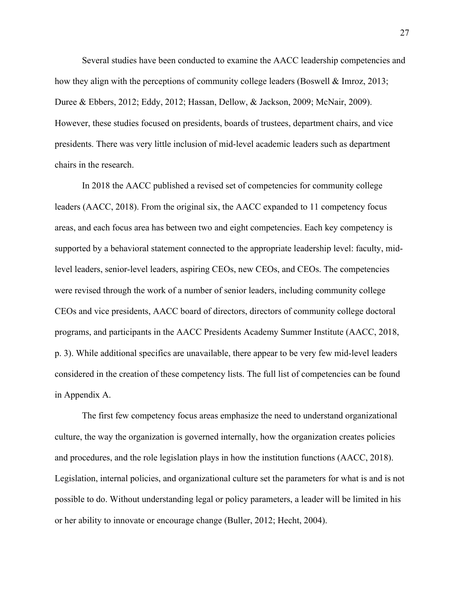Several studies have been conducted to examine the AACC leadership competencies and how they align with the perceptions of community college leaders (Boswell & Imroz, 2013; Duree & Ebbers, 2012; Eddy, 2012; Hassan, Dellow, & Jackson, 2009; McNair, 2009). However, these studies focused on presidents, boards of trustees, department chairs, and vice presidents. There was very little inclusion of mid-level academic leaders such as department chairs in the research.

In 2018 the AACC published a revised set of competencies for community college leaders (AACC, 2018). From the original six, the AACC expanded to 11 competency focus areas, and each focus area has between two and eight competencies. Each key competency is supported by a behavioral statement connected to the appropriate leadership level: faculty, midlevel leaders, senior-level leaders, aspiring CEOs, new CEOs, and CEOs. The competencies were revised through the work of a number of senior leaders, including community college CEOs and vice presidents, AACC board of directors, directors of community college doctoral programs, and participants in the AACC Presidents Academy Summer Institute (AACC, 2018, p. 3). While additional specifics are unavailable, there appear to be very few mid-level leaders considered in the creation of these competency lists. The full list of competencies can be found in Appendix A.

The first few competency focus areas emphasize the need to understand organizational culture, the way the organization is governed internally, how the organization creates policies and procedures, and the role legislation plays in how the institution functions (AACC, 2018). Legislation, internal policies, and organizational culture set the parameters for what is and is not possible to do. Without understanding legal or policy parameters, a leader will be limited in his or her ability to innovate or encourage change (Buller, 2012; Hecht, 2004).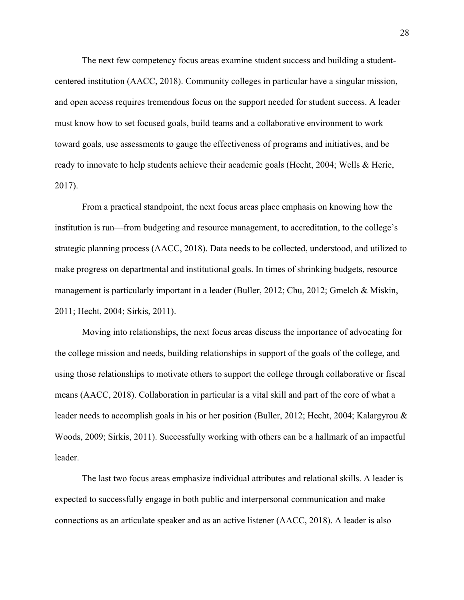The next few competency focus areas examine student success and building a studentcentered institution (AACC, 2018). Community colleges in particular have a singular mission, and open access requires tremendous focus on the support needed for student success. A leader must know how to set focused goals, build teams and a collaborative environment to work toward goals, use assessments to gauge the effectiveness of programs and initiatives, and be ready to innovate to help students achieve their academic goals (Hecht, 2004; Wells & Herie, 2017).

From a practical standpoint, the next focus areas place emphasis on knowing how the institution is run—from budgeting and resource management, to accreditation, to the college's strategic planning process (AACC, 2018). Data needs to be collected, understood, and utilized to make progress on departmental and institutional goals. In times of shrinking budgets, resource management is particularly important in a leader (Buller, 2012; Chu, 2012; Gmelch & Miskin, 2011; Hecht, 2004; Sirkis, 2011).

Moving into relationships, the next focus areas discuss the importance of advocating for the college mission and needs, building relationships in support of the goals of the college, and using those relationships to motivate others to support the college through collaborative or fiscal means (AACC, 2018). Collaboration in particular is a vital skill and part of the core of what a leader needs to accomplish goals in his or her position (Buller, 2012; Hecht, 2004; Kalargyrou & Woods, 2009; Sirkis, 2011). Successfully working with others can be a hallmark of an impactful leader.

The last two focus areas emphasize individual attributes and relational skills. A leader is expected to successfully engage in both public and interpersonal communication and make connections as an articulate speaker and as an active listener (AACC, 2018). A leader is also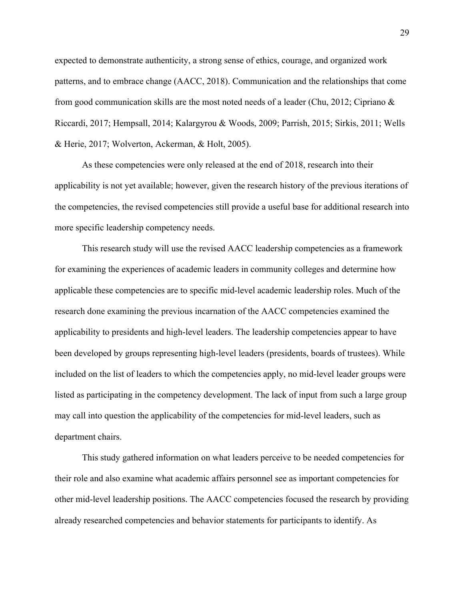expected to demonstrate authenticity, a strong sense of ethics, courage, and organized work patterns, and to embrace change (AACC, 2018). Communication and the relationships that come from good communication skills are the most noted needs of a leader (Chu, 2012; Cipriano & Riccardi, 2017; Hempsall, 2014; Kalargyrou & Woods, 2009; Parrish, 2015; Sirkis, 2011; Wells & Herie, 2017; Wolverton, Ackerman, & Holt, 2005).

As these competencies were only released at the end of 2018, research into their applicability is not yet available; however, given the research history of the previous iterations of the competencies, the revised competencies still provide a useful base for additional research into more specific leadership competency needs.

This research study will use the revised AACC leadership competencies as a framework for examining the experiences of academic leaders in community colleges and determine how applicable these competencies are to specific mid-level academic leadership roles. Much of the research done examining the previous incarnation of the AACC competencies examined the applicability to presidents and high-level leaders. The leadership competencies appear to have been developed by groups representing high-level leaders (presidents, boards of trustees). While included on the list of leaders to which the competencies apply, no mid-level leader groups were listed as participating in the competency development. The lack of input from such a large group may call into question the applicability of the competencies for mid-level leaders, such as department chairs.

This study gathered information on what leaders perceive to be needed competencies for their role and also examine what academic affairs personnel see as important competencies for other mid-level leadership positions. The AACC competencies focused the research by providing already researched competencies and behavior statements for participants to identify. As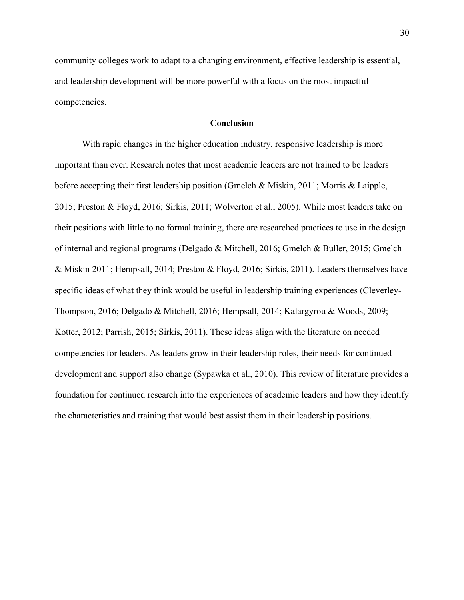community colleges work to adapt to a changing environment, effective leadership is essential, and leadership development will be more powerful with a focus on the most impactful competencies.

# **Conclusion**

With rapid changes in the higher education industry, responsive leadership is more important than ever. Research notes that most academic leaders are not trained to be leaders before accepting their first leadership position (Gmelch & Miskin, 2011; Morris & Laipple, 2015; Preston & Floyd, 2016; Sirkis, 2011; Wolverton et al., 2005). While most leaders take on their positions with little to no formal training, there are researched practices to use in the design of internal and regional programs (Delgado & Mitchell, 2016; Gmelch & Buller, 2015; Gmelch & Miskin 2011; Hempsall, 2014; Preston & Floyd, 2016; Sirkis, 2011). Leaders themselves have specific ideas of what they think would be useful in leadership training experiences (Cleverley-Thompson, 2016; Delgado & Mitchell, 2016; Hempsall, 2014; Kalargyrou & Woods, 2009; Kotter, 2012; Parrish, 2015; Sirkis, 2011). These ideas align with the literature on needed competencies for leaders. As leaders grow in their leadership roles, their needs for continued development and support also change (Sypawka et al., 2010). This review of literature provides a foundation for continued research into the experiences of academic leaders and how they identify the characteristics and training that would best assist them in their leadership positions.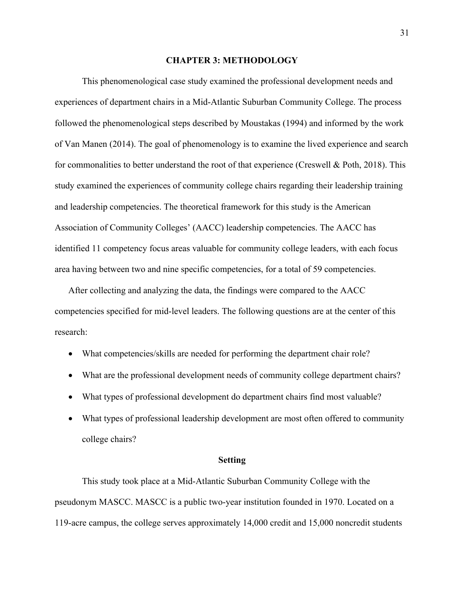#### **CHAPTER 3: METHODOLOGY**

This phenomenological case study examined the professional development needs and experiences of department chairs in a Mid-Atlantic Suburban Community College. The process followed the phenomenological steps described by Moustakas (1994) and informed by the work of Van Manen (2014). The goal of phenomenology is to examine the lived experience and search for commonalities to better understand the root of that experience (Creswell & Poth, 2018). This study examined the experiences of community college chairs regarding their leadership training and leadership competencies. The theoretical framework for this study is the American Association of Community Colleges' (AACC) leadership competencies. The AACC has identified 11 competency focus areas valuable for community college leaders, with each focus area having between two and nine specific competencies, for a total of 59 competencies.

After collecting and analyzing the data, the findings were compared to the AACC competencies specified for mid-level leaders. The following questions are at the center of this research:

- What competencies/skills are needed for performing the department chair role?
- What are the professional development needs of community college department chairs?
- What types of professional development do department chairs find most valuable?
- What types of professional leadership development are most often offered to community college chairs?

#### **Setting**

This study took place at a Mid-Atlantic Suburban Community College with the pseudonym MASCC. MASCC is a public two-year institution founded in 1970. Located on a 119-acre campus, the college serves approximately 14,000 credit and 15,000 noncredit students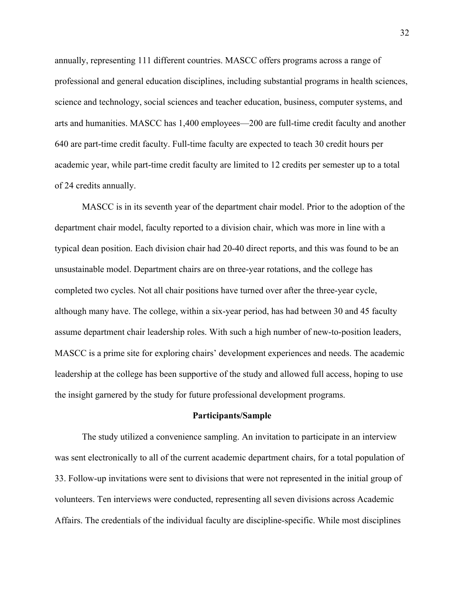annually, representing 111 different countries. MASCC offers programs across a range of professional and general education disciplines, including substantial programs in health sciences, science and technology, social sciences and teacher education, business, computer systems, and arts and humanities. MASCC has 1,400 employees—200 are full-time credit faculty and another 640 are part-time credit faculty. Full-time faculty are expected to teach 30 credit hours per academic year, while part-time credit faculty are limited to 12 credits per semester up to a total of 24 credits annually.

MASCC is in its seventh year of the department chair model. Prior to the adoption of the department chair model, faculty reported to a division chair, which was more in line with a typical dean position. Each division chair had 20-40 direct reports, and this was found to be an unsustainable model. Department chairs are on three-year rotations, and the college has completed two cycles. Not all chair positions have turned over after the three-year cycle, although many have. The college, within a six-year period, has had between 30 and 45 faculty assume department chair leadership roles. With such a high number of new-to-position leaders, MASCC is a prime site for exploring chairs' development experiences and needs. The academic leadership at the college has been supportive of the study and allowed full access, hoping to use the insight garnered by the study for future professional development programs.

#### **Participants/Sample**

The study utilized a convenience sampling. An invitation to participate in an interview was sent electronically to all of the current academic department chairs, for a total population of 33. Follow-up invitations were sent to divisions that were not represented in the initial group of volunteers. Ten interviews were conducted, representing all seven divisions across Academic Affairs. The credentials of the individual faculty are discipline-specific. While most disciplines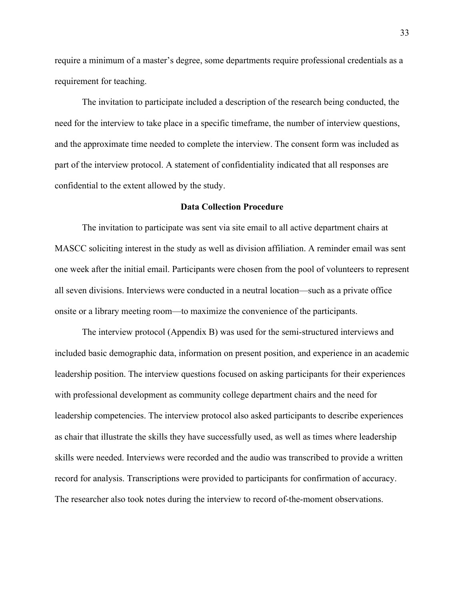require a minimum of a master's degree, some departments require professional credentials as a requirement for teaching.

The invitation to participate included a description of the research being conducted, the need for the interview to take place in a specific timeframe, the number of interview questions, and the approximate time needed to complete the interview. The consent form was included as part of the interview protocol. A statement of confidentiality indicated that all responses are confidential to the extent allowed by the study.

# **Data Collection Procedure**

The invitation to participate was sent via site email to all active department chairs at MASCC soliciting interest in the study as well as division affiliation. A reminder email was sent one week after the initial email. Participants were chosen from the pool of volunteers to represent all seven divisions. Interviews were conducted in a neutral location—such as a private office onsite or a library meeting room—to maximize the convenience of the participants.

The interview protocol (Appendix B) was used for the semi-structured interviews and included basic demographic data, information on present position, and experience in an academic leadership position. The interview questions focused on asking participants for their experiences with professional development as community college department chairs and the need for leadership competencies. The interview protocol also asked participants to describe experiences as chair that illustrate the skills they have successfully used, as well as times where leadership skills were needed. Interviews were recorded and the audio was transcribed to provide a written record for analysis. Transcriptions were provided to participants for confirmation of accuracy. The researcher also took notes during the interview to record of-the-moment observations.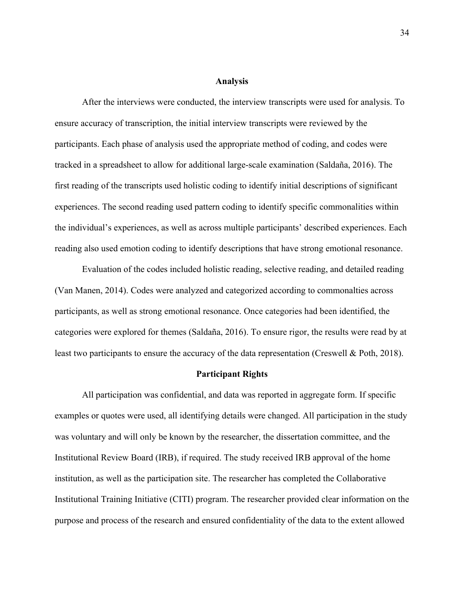#### **Analysis**

After the interviews were conducted, the interview transcripts were used for analysis. To ensure accuracy of transcription, the initial interview transcripts were reviewed by the participants. Each phase of analysis used the appropriate method of coding, and codes were tracked in a spreadsheet to allow for additional large-scale examination (Saldaña, 2016). The first reading of the transcripts used holistic coding to identify initial descriptions of significant experiences. The second reading used pattern coding to identify specific commonalities within the individual's experiences, as well as across multiple participants' described experiences. Each reading also used emotion coding to identify descriptions that have strong emotional resonance.

Evaluation of the codes included holistic reading, selective reading, and detailed reading (Van Manen, 2014). Codes were analyzed and categorized according to commonalties across participants, as well as strong emotional resonance. Once categories had been identified, the categories were explored for themes (Saldaña, 2016). To ensure rigor, the results were read by at least two participants to ensure the accuracy of the data representation (Creswell & Poth, 2018).

#### **Participant Rights**

All participation was confidential, and data was reported in aggregate form. If specific examples or quotes were used, all identifying details were changed. All participation in the study was voluntary and will only be known by the researcher, the dissertation committee, and the Institutional Review Board (IRB), if required. The study received IRB approval of the home institution, as well as the participation site. The researcher has completed the Collaborative Institutional Training Initiative (CITI) program. The researcher provided clear information on the purpose and process of the research and ensured confidentiality of the data to the extent allowed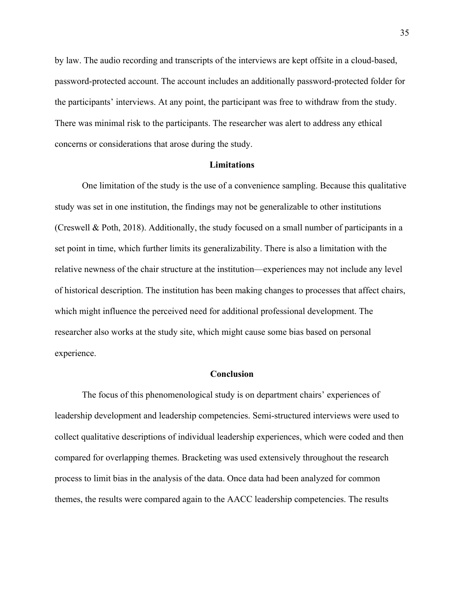by law. The audio recording and transcripts of the interviews are kept offsite in a cloud-based, password-protected account. The account includes an additionally password-protected folder for the participants' interviews. At any point, the participant was free to withdraw from the study. There was minimal risk to the participants. The researcher was alert to address any ethical concerns or considerations that arose during the study.

#### **Limitations**

One limitation of the study is the use of a convenience sampling. Because this qualitative study was set in one institution, the findings may not be generalizable to other institutions (Creswell & Poth, 2018). Additionally, the study focused on a small number of participants in a set point in time, which further limits its generalizability. There is also a limitation with the relative newness of the chair structure at the institution—experiences may not include any level of historical description. The institution has been making changes to processes that affect chairs, which might influence the perceived need for additional professional development. The researcher also works at the study site, which might cause some bias based on personal experience.

# **Conclusion**

The focus of this phenomenological study is on department chairs' experiences of leadership development and leadership competencies. Semi-structured interviews were used to collect qualitative descriptions of individual leadership experiences, which were coded and then compared for overlapping themes. Bracketing was used extensively throughout the research process to limit bias in the analysis of the data. Once data had been analyzed for common themes, the results were compared again to the AACC leadership competencies. The results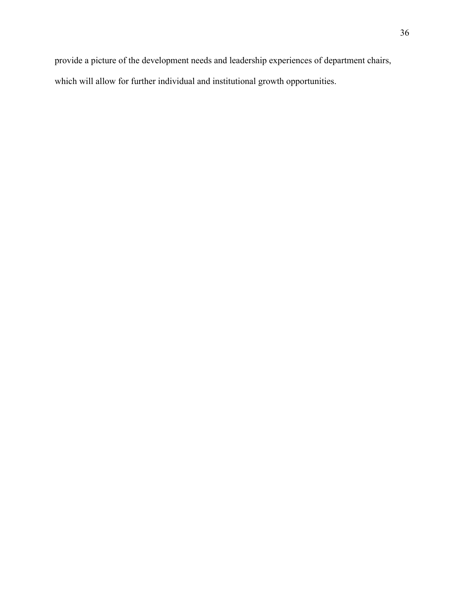provide a picture of the development needs and leadership experiences of department chairs, which will allow for further individual and institutional growth opportunities.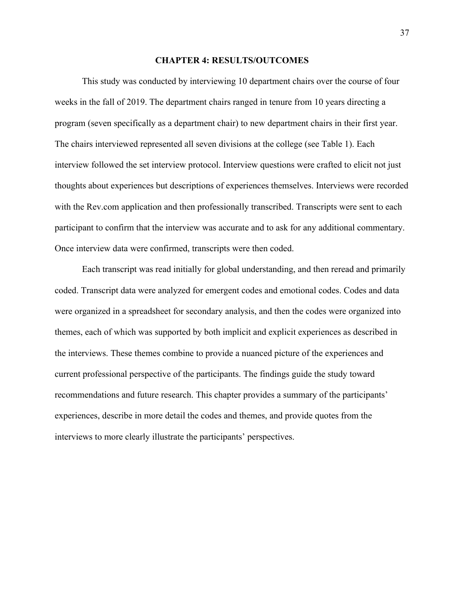#### **CHAPTER 4: RESULTS/OUTCOMES**

This study was conducted by interviewing 10 department chairs over the course of four weeks in the fall of 2019. The department chairs ranged in tenure from 10 years directing a program (seven specifically as a department chair) to new department chairs in their first year. The chairs interviewed represented all seven divisions at the college (see Table 1). Each interview followed the set interview protocol. Interview questions were crafted to elicit not just thoughts about experiences but descriptions of experiences themselves. Interviews were recorded with the Rev.com application and then professionally transcribed. Transcripts were sent to each participant to confirm that the interview was accurate and to ask for any additional commentary. Once interview data were confirmed, transcripts were then coded.

Each transcript was read initially for global understanding, and then reread and primarily coded. Transcript data were analyzed for emergent codes and emotional codes. Codes and data were organized in a spreadsheet for secondary analysis, and then the codes were organized into themes, each of which was supported by both implicit and explicit experiences as described in the interviews. These themes combine to provide a nuanced picture of the experiences and current professional perspective of the participants. The findings guide the study toward recommendations and future research. This chapter provides a summary of the participants' experiences, describe in more detail the codes and themes, and provide quotes from the interviews to more clearly illustrate the participants' perspectives.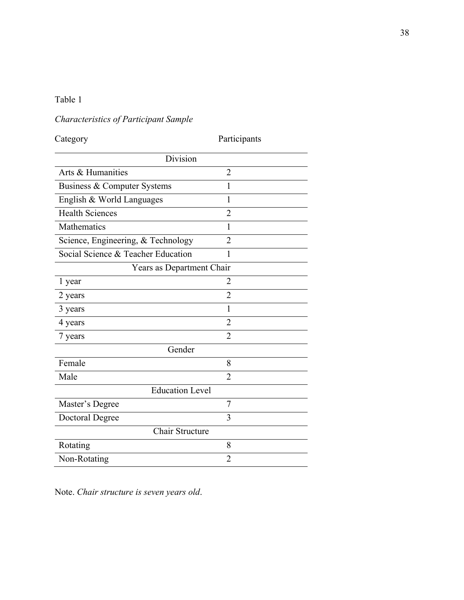# Table 1

# *Characteristics of Participant Sample*

Category Participants

| Division                           |                |  |
|------------------------------------|----------------|--|
| Arts & Humanities                  | $\overline{2}$ |  |
| Business & Computer Systems        | 1              |  |
| English & World Languages          | 1              |  |
| <b>Health Sciences</b>             | $\overline{2}$ |  |
| Mathematics                        | 1              |  |
| Science, Engineering, & Technology | $\overline{2}$ |  |
| Social Science & Teacher Education | $\mathbf{1}$   |  |
| Years as Department Chair          |                |  |
| 1 year                             | $\overline{2}$ |  |
| 2 years                            | $\overline{2}$ |  |
| 3 years                            | 1              |  |
| 4 years                            | $\overline{2}$ |  |
| 7 years                            | $\overline{2}$ |  |
| Gender                             |                |  |
| Female                             | 8              |  |
| Male                               | $\overline{2}$ |  |
| Education Level                    |                |  |
| Master's Degree                    | $\overline{7}$ |  |
| Doctoral Degree                    | 3              |  |
| Chair Structure                    |                |  |
| Rotating                           | 8              |  |
| Non-Rotating                       | $\overline{2}$ |  |

Note. *Chair structure is seven years old*.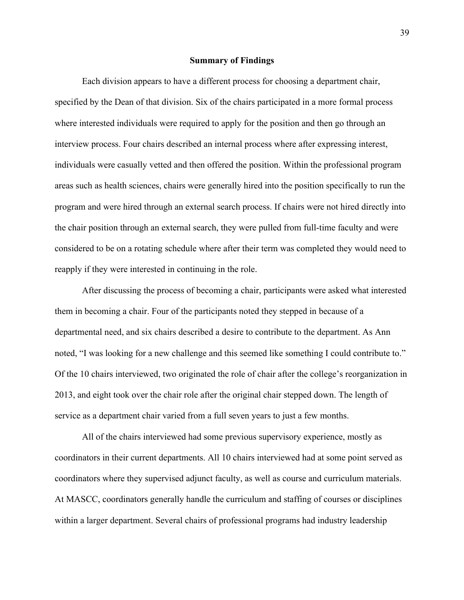#### **Summary of Findings**

Each division appears to have a different process for choosing a department chair, specified by the Dean of that division. Six of the chairs participated in a more formal process where interested individuals were required to apply for the position and then go through an interview process. Four chairs described an internal process where after expressing interest, individuals were casually vetted and then offered the position. Within the professional program areas such as health sciences, chairs were generally hired into the position specifically to run the program and were hired through an external search process. If chairs were not hired directly into the chair position through an external search, they were pulled from full-time faculty and were considered to be on a rotating schedule where after their term was completed they would need to reapply if they were interested in continuing in the role.

After discussing the process of becoming a chair, participants were asked what interested them in becoming a chair. Four of the participants noted they stepped in because of a departmental need, and six chairs described a desire to contribute to the department. As Ann noted, "I was looking for a new challenge and this seemed like something I could contribute to." Of the 10 chairs interviewed, two originated the role of chair after the college's reorganization in 2013, and eight took over the chair role after the original chair stepped down. The length of service as a department chair varied from a full seven years to just a few months.

All of the chairs interviewed had some previous supervisory experience, mostly as coordinators in their current departments. All 10 chairs interviewed had at some point served as coordinators where they supervised adjunct faculty, as well as course and curriculum materials. At MASCC, coordinators generally handle the curriculum and staffing of courses or disciplines within a larger department. Several chairs of professional programs had industry leadership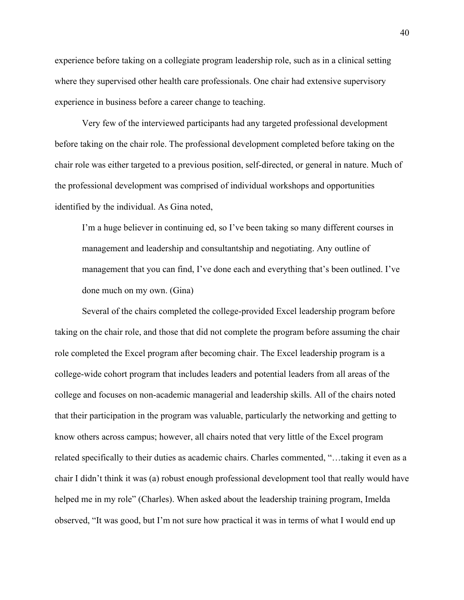experience before taking on a collegiate program leadership role, such as in a clinical setting where they supervised other health care professionals. One chair had extensive supervisory experience in business before a career change to teaching.

Very few of the interviewed participants had any targeted professional development before taking on the chair role. The professional development completed before taking on the chair role was either targeted to a previous position, self-directed, or general in nature. Much of the professional development was comprised of individual workshops and opportunities identified by the individual. As Gina noted,

I'm a huge believer in continuing ed, so I've been taking so many different courses in management and leadership and consultantship and negotiating. Any outline of management that you can find, I've done each and everything that's been outlined. I've done much on my own. (Gina)

Several of the chairs completed the college-provided Excel leadership program before taking on the chair role, and those that did not complete the program before assuming the chair role completed the Excel program after becoming chair. The Excel leadership program is a college-wide cohort program that includes leaders and potential leaders from all areas of the college and focuses on non-academic managerial and leadership skills. All of the chairs noted that their participation in the program was valuable, particularly the networking and getting to know others across campus; however, all chairs noted that very little of the Excel program related specifically to their duties as academic chairs. Charles commented, "…taking it even as a chair I didn't think it was (a) robust enough professional development tool that really would have helped me in my role" (Charles). When asked about the leadership training program, Imelda observed, "It was good, but I'm not sure how practical it was in terms of what I would end up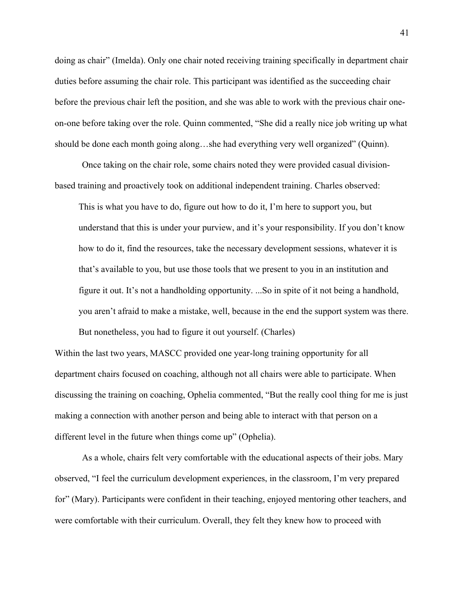doing as chair" (Imelda). Only one chair noted receiving training specifically in department chair duties before assuming the chair role. This participant was identified as the succeeding chair before the previous chair left the position, and she was able to work with the previous chair oneon-one before taking over the role. Quinn commented, "She did a really nice job writing up what should be done each month going along…she had everything very well organized" (Quinn).

Once taking on the chair role, some chairs noted they were provided casual divisionbased training and proactively took on additional independent training. Charles observed:

This is what you have to do, figure out how to do it, I'm here to support you, but understand that this is under your purview, and it's your responsibility. If you don't know how to do it, find the resources, take the necessary development sessions, whatever it is that's available to you, but use those tools that we present to you in an institution and figure it out. It's not a handholding opportunity. ...So in spite of it not being a handhold, you aren't afraid to make a mistake, well, because in the end the support system was there. But nonetheless, you had to figure it out yourself. (Charles)

Within the last two years, MASCC provided one year-long training opportunity for all department chairs focused on coaching, although not all chairs were able to participate. When discussing the training on coaching, Ophelia commented, "But the really cool thing for me is just making a connection with another person and being able to interact with that person on a different level in the future when things come up" (Ophelia).

As a whole, chairs felt very comfortable with the educational aspects of their jobs. Mary observed, "I feel the curriculum development experiences, in the classroom, I'm very prepared for" (Mary). Participants were confident in their teaching, enjoyed mentoring other teachers, and were comfortable with their curriculum. Overall, they felt they knew how to proceed with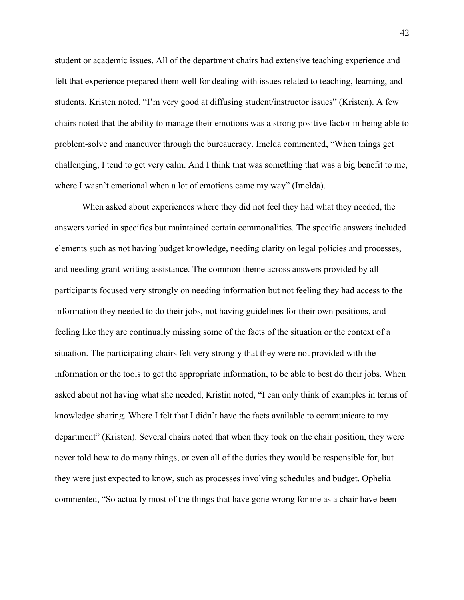student or academic issues. All of the department chairs had extensive teaching experience and felt that experience prepared them well for dealing with issues related to teaching, learning, and students. Kristen noted, "I'm very good at diffusing student/instructor issues" (Kristen). A few chairs noted that the ability to manage their emotions was a strong positive factor in being able to problem-solve and maneuver through the bureaucracy. Imelda commented, "When things get challenging, I tend to get very calm. And I think that was something that was a big benefit to me, where I wasn't emotional when a lot of emotions came my way" (Imelda).

When asked about experiences where they did not feel they had what they needed, the answers varied in specifics but maintained certain commonalities. The specific answers included elements such as not having budget knowledge, needing clarity on legal policies and processes, and needing grant-writing assistance. The common theme across answers provided by all participants focused very strongly on needing information but not feeling they had access to the information they needed to do their jobs, not having guidelines for their own positions, and feeling like they are continually missing some of the facts of the situation or the context of a situation. The participating chairs felt very strongly that they were not provided with the information or the tools to get the appropriate information, to be able to best do their jobs. When asked about not having what she needed, Kristin noted, "I can only think of examples in terms of knowledge sharing. Where I felt that I didn't have the facts available to communicate to my department" (Kristen). Several chairs noted that when they took on the chair position, they were never told how to do many things, or even all of the duties they would be responsible for, but they were just expected to know, such as processes involving schedules and budget. Ophelia commented, "So actually most of the things that have gone wrong for me as a chair have been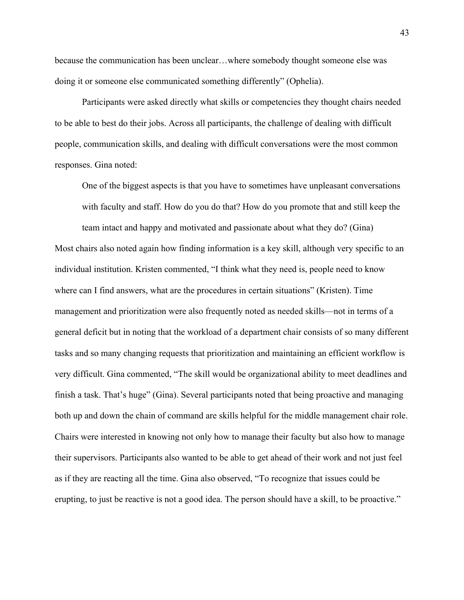because the communication has been unclear…where somebody thought someone else was doing it or someone else communicated something differently" (Ophelia).

Participants were asked directly what skills or competencies they thought chairs needed to be able to best do their jobs. Across all participants, the challenge of dealing with difficult people, communication skills, and dealing with difficult conversations were the most common responses. Gina noted:

One of the biggest aspects is that you have to sometimes have unpleasant conversations with faculty and staff. How do you do that? How do you promote that and still keep the team intact and happy and motivated and passionate about what they do? (Gina)

Most chairs also noted again how finding information is a key skill, although very specific to an individual institution. Kristen commented, "I think what they need is, people need to know where can I find answers, what are the procedures in certain situations" (Kristen). Time management and prioritization were also frequently noted as needed skills—not in terms of a general deficit but in noting that the workload of a department chair consists of so many different tasks and so many changing requests that prioritization and maintaining an efficient workflow is very difficult. Gina commented, "The skill would be organizational ability to meet deadlines and finish a task. That's huge" (Gina). Several participants noted that being proactive and managing both up and down the chain of command are skills helpful for the middle management chair role. Chairs were interested in knowing not only how to manage their faculty but also how to manage their supervisors. Participants also wanted to be able to get ahead of their work and not just feel as if they are reacting all the time. Gina also observed, "To recognize that issues could be erupting, to just be reactive is not a good idea. The person should have a skill, to be proactive."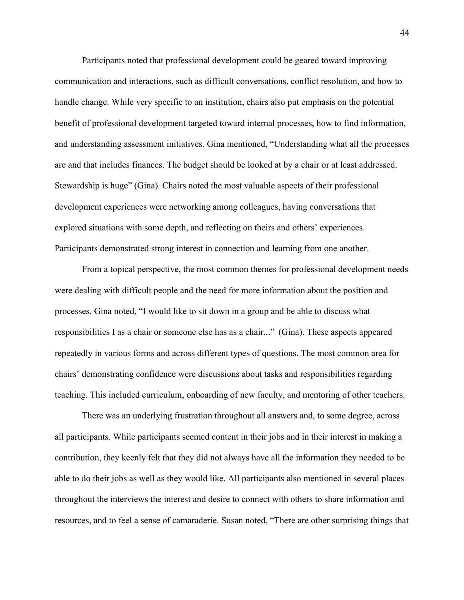Participants noted that professional development could be geared toward improving communication and interactions, such as difficult conversations, conflict resolution, and how to handle change. While very specific to an institution, chairs also put emphasis on the potential benefit of professional development targeted toward internal processes, how to find information, and understanding assessment initiatives. Gina mentioned, "Understanding what all the processes are and that includes finances. The budget should be looked at by a chair or at least addressed. Stewardship is huge" (Gina). Chairs noted the most valuable aspects of their professional development experiences were networking among colleagues, having conversations that explored situations with some depth, and reflecting on theirs and others' experiences. Participants demonstrated strong interest in connection and learning from one another.

From a topical perspective, the most common themes for professional development needs were dealing with difficult people and the need for more information about the position and processes. Gina noted, "I would like to sit down in a group and be able to discuss what responsibilities I as a chair or someone else has as a chair..." (Gina). These aspects appeared repeatedly in various forms and across different types of questions. The most common area for chairs' demonstrating confidence were discussions about tasks and responsibilities regarding teaching. This included curriculum, onboarding of new faculty, and mentoring of other teachers.

There was an underlying frustration throughout all answers and, to some degree, across all participants. While participants seemed content in their jobs and in their interest in making a contribution, they keenly felt that they did not always have all the information they needed to be able to do their jobs as well as they would like. All participants also mentioned in several places throughout the interviews the interest and desire to connect with others to share information and resources, and to feel a sense of camaraderie. Susan noted, "There are other surprising things that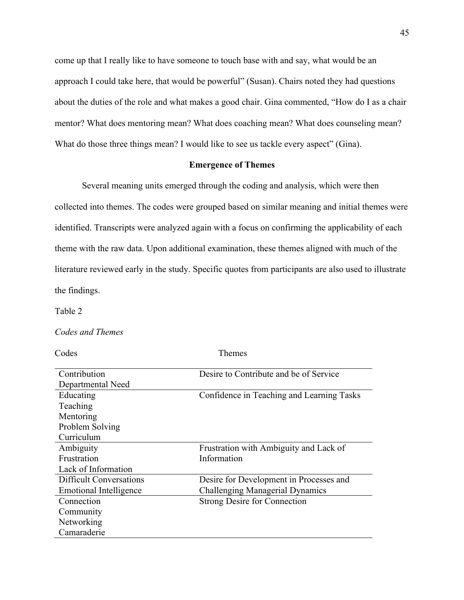come up that I really like to have someone to touch base with and say, what would be an approach I could take here, that would be powerful" (Susan). Chairs noted they had questions about the duties of the role and what makes a good chair. Gina commented, "How do I as a chair mentor? What does mentoring mean? What does coaching mean? What does counseling mean? What do those three things mean? I would like to see us tackle every aspect" (Gina).

# **Emergence of Themes**

Several meaning units emerged through the coding and analysis, which were then collected into themes. The codes were grouped based on similar meaning and initial themes were identified. Transcripts were analyzed again with a focus on confirming the applicability of each theme with the raw data. Upon additional examination, these themes aligned with much of the literature reviewed early in the study. Specific quotes from participants are also used to illustrate the findings.

Table 2

*Codes and Themes*

Codes Themes

| Contribution                   | Desire to Contribute and be of Service    |
|--------------------------------|-------------------------------------------|
|                                |                                           |
| Departmental Need              |                                           |
| Educating                      | Confidence in Teaching and Learning Tasks |
| Teaching                       |                                           |
| Mentoring                      |                                           |
| Problem Solving                |                                           |
| Curriculum                     |                                           |
| Ambiguity                      | Frustration with Ambiguity and Lack of    |
| Frustration                    | Information                               |
| Lack of Information            |                                           |
| <b>Difficult Conversations</b> | Desire for Development in Processes and   |
| Emotional Intelligence         | <b>Challenging Managerial Dynamics</b>    |
| Connection                     | <b>Strong Desire for Connection</b>       |
| Community                      |                                           |
| Networking                     |                                           |
| Camaraderie                    |                                           |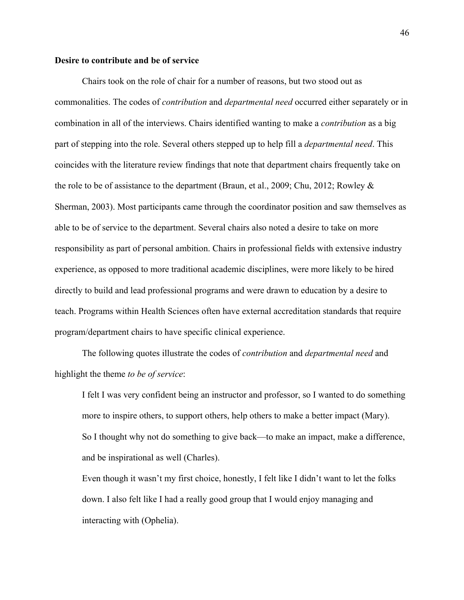#### **Desire to contribute and be of service**

Chairs took on the role of chair for a number of reasons, but two stood out as commonalities. The codes of *contribution* and *departmental need* occurred either separately or in combination in all of the interviews. Chairs identified wanting to make a *contribution* as a big part of stepping into the role. Several others stepped up to help fill a *departmental need*. This coincides with the literature review findings that note that department chairs frequently take on the role to be of assistance to the department (Braun, et al., 2009; Chu, 2012; Rowley  $\&$ Sherman, 2003). Most participants came through the coordinator position and saw themselves as able to be of service to the department. Several chairs also noted a desire to take on more responsibility as part of personal ambition. Chairs in professional fields with extensive industry experience, as opposed to more traditional academic disciplines, were more likely to be hired directly to build and lead professional programs and were drawn to education by a desire to teach. Programs within Health Sciences often have external accreditation standards that require program/department chairs to have specific clinical experience.

The following quotes illustrate the codes of *contribution* and *departmental need* and highlight the theme *to be of service*:

I felt I was very confident being an instructor and professor, so I wanted to do something more to inspire others, to support others, help others to make a better impact (Mary). So I thought why not do something to give back—to make an impact, make a difference, and be inspirational as well (Charles).

Even though it wasn't my first choice, honestly, I felt like I didn't want to let the folks down. I also felt like I had a really good group that I would enjoy managing and interacting with (Ophelia).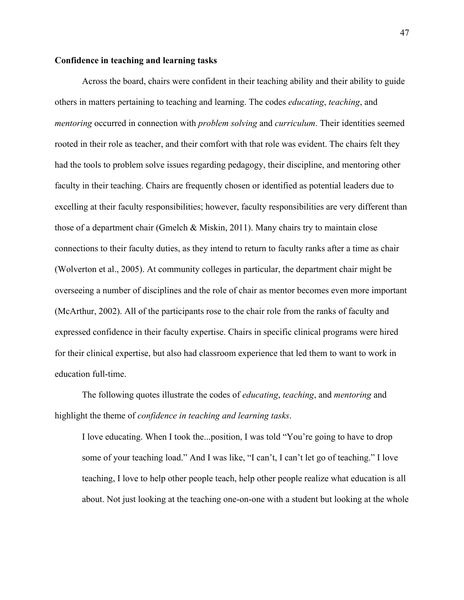#### **Confidence in teaching and learning tasks**

Across the board, chairs were confident in their teaching ability and their ability to guide others in matters pertaining to teaching and learning. The codes *educating*, *teaching*, and *mentoring* occurred in connection with *problem solving* and *curriculum*. Their identities seemed rooted in their role as teacher, and their comfort with that role was evident. The chairs felt they had the tools to problem solve issues regarding pedagogy, their discipline, and mentoring other faculty in their teaching. Chairs are frequently chosen or identified as potential leaders due to excelling at their faculty responsibilities; however, faculty responsibilities are very different than those of a department chair (Gmelch & Miskin, 2011). Many chairs try to maintain close connections to their faculty duties, as they intend to return to faculty ranks after a time as chair (Wolverton et al., 2005). At community colleges in particular, the department chair might be overseeing a number of disciplines and the role of chair as mentor becomes even more important (McArthur, 2002). All of the participants rose to the chair role from the ranks of faculty and expressed confidence in their faculty expertise. Chairs in specific clinical programs were hired for their clinical expertise, but also had classroom experience that led them to want to work in education full-time.

The following quotes illustrate the codes of *educating*, *teaching*, and *mentoring* and highlight the theme of *confidence in teaching and learning tasks*.

I love educating. When I took the...position, I was told "You're going to have to drop some of your teaching load." And I was like, "I can't, I can't let go of teaching." I love teaching, I love to help other people teach, help other people realize what education is all about. Not just looking at the teaching one-on-one with a student but looking at the whole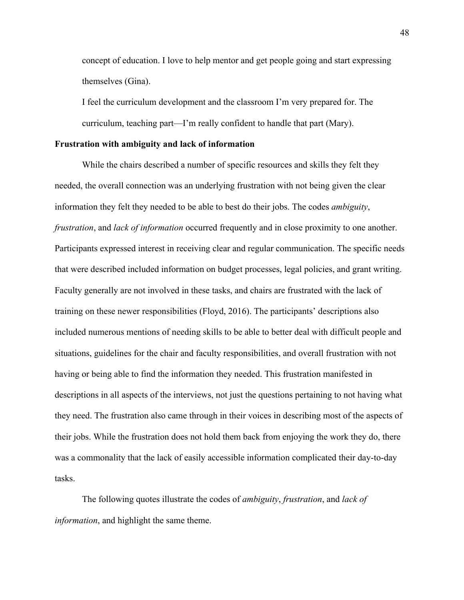concept of education. I love to help mentor and get people going and start expressing themselves (Gina).

I feel the curriculum development and the classroom I'm very prepared for. The curriculum, teaching part—I'm really confident to handle that part (Mary).

#### **Frustration with ambiguity and lack of information**

While the chairs described a number of specific resources and skills they felt they needed, the overall connection was an underlying frustration with not being given the clear information they felt they needed to be able to best do their jobs. The codes *ambiguity*, *frustration*, and *lack of information* occurred frequently and in close proximity to one another. Participants expressed interest in receiving clear and regular communication. The specific needs that were described included information on budget processes, legal policies, and grant writing. Faculty generally are not involved in these tasks, and chairs are frustrated with the lack of training on these newer responsibilities (Floyd, 2016). The participants' descriptions also included numerous mentions of needing skills to be able to better deal with difficult people and situations, guidelines for the chair and faculty responsibilities, and overall frustration with not having or being able to find the information they needed. This frustration manifested in descriptions in all aspects of the interviews, not just the questions pertaining to not having what they need. The frustration also came through in their voices in describing most of the aspects of their jobs. While the frustration does not hold them back from enjoying the work they do, there was a commonality that the lack of easily accessible information complicated their day-to-day tasks.

The following quotes illustrate the codes of *ambiguity*, *frustration*, and *lack of information*, and highlight the same theme.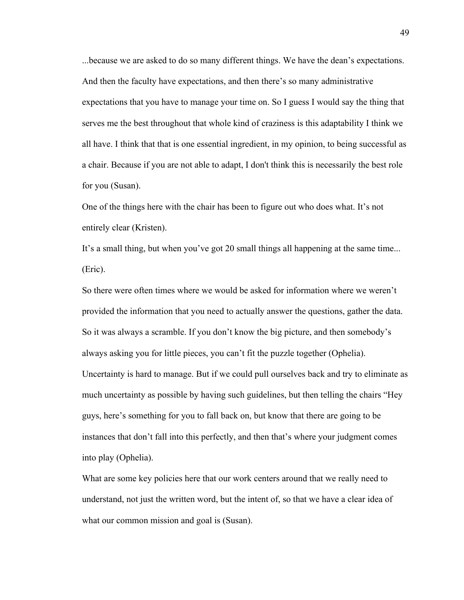...because we are asked to do so many different things. We have the dean's expectations. And then the faculty have expectations, and then there's so many administrative expectations that you have to manage your time on. So I guess I would say the thing that serves me the best throughout that whole kind of craziness is this adaptability I think we all have. I think that that is one essential ingredient, in my opinion, to being successful as a chair. Because if you are not able to adapt, I don't think this is necessarily the best role for you (Susan).

One of the things here with the chair has been to figure out who does what. It's not entirely clear (Kristen).

It's a small thing, but when you've got 20 small things all happening at the same time... (Eric).

So there were often times where we would be asked for information where we weren't provided the information that you need to actually answer the questions, gather the data. So it was always a scramble. If you don't know the big picture, and then somebody's always asking you for little pieces, you can't fit the puzzle together (Ophelia). Uncertainty is hard to manage. But if we could pull ourselves back and try to eliminate as much uncertainty as possible by having such guidelines, but then telling the chairs "Hey guys, here's something for you to fall back on, but know that there are going to be instances that don't fall into this perfectly, and then that's where your judgment comes into play (Ophelia).

What are some key policies here that our work centers around that we really need to understand, not just the written word, but the intent of, so that we have a clear idea of what our common mission and goal is (Susan).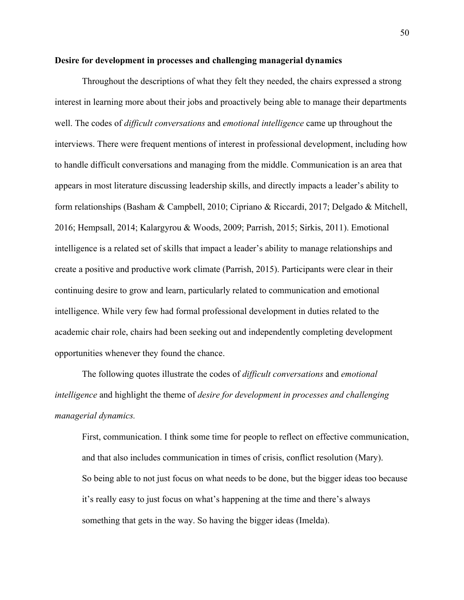#### **Desire for development in processes and challenging managerial dynamics**

Throughout the descriptions of what they felt they needed, the chairs expressed a strong interest in learning more about their jobs and proactively being able to manage their departments well. The codes of *difficult conversations* and *emotional intelligence* came up throughout the interviews. There were frequent mentions of interest in professional development, including how to handle difficult conversations and managing from the middle. Communication is an area that appears in most literature discussing leadership skills, and directly impacts a leader's ability to form relationships (Basham & Campbell, 2010; Cipriano & Riccardi, 2017; Delgado & Mitchell, 2016; Hempsall, 2014; Kalargyrou & Woods, 2009; Parrish, 2015; Sirkis, 2011). Emotional intelligence is a related set of skills that impact a leader's ability to manage relationships and create a positive and productive work climate (Parrish, 2015). Participants were clear in their continuing desire to grow and learn, particularly related to communication and emotional intelligence. While very few had formal professional development in duties related to the academic chair role, chairs had been seeking out and independently completing development opportunities whenever they found the chance.

The following quotes illustrate the codes of *difficult conversations* and *emotional intelligence* and highlight the theme of *desire for development in processes and challenging managerial dynamics.*

First, communication. I think some time for people to reflect on effective communication, and that also includes communication in times of crisis, conflict resolution (Mary). So being able to not just focus on what needs to be done, but the bigger ideas too because it's really easy to just focus on what's happening at the time and there's always something that gets in the way. So having the bigger ideas (Imelda).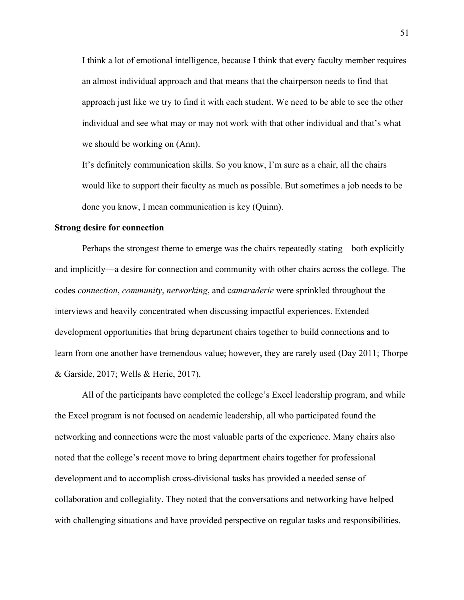I think a lot of emotional intelligence, because I think that every faculty member requires an almost individual approach and that means that the chairperson needs to find that approach just like we try to find it with each student. We need to be able to see the other individual and see what may or may not work with that other individual and that's what we should be working on (Ann).

It's definitely communication skills. So you know, I'm sure as a chair, all the chairs would like to support their faculty as much as possible. But sometimes a job needs to be done you know, I mean communication is key (Quinn).

#### **Strong desire for connection**

Perhaps the strongest theme to emerge was the chairs repeatedly stating—both explicitly and implicitly—a desire for connection and community with other chairs across the college. The codes *connection*, *community*, *networking*, and c*amaraderie* were sprinkled throughout the interviews and heavily concentrated when discussing impactful experiences. Extended development opportunities that bring department chairs together to build connections and to learn from one another have tremendous value; however, they are rarely used (Day 2011; Thorpe & Garside, 2017; Wells & Herie, 2017).

All of the participants have completed the college's Excel leadership program, and while the Excel program is not focused on academic leadership, all who participated found the networking and connections were the most valuable parts of the experience. Many chairs also noted that the college's recent move to bring department chairs together for professional development and to accomplish cross-divisional tasks has provided a needed sense of collaboration and collegiality. They noted that the conversations and networking have helped with challenging situations and have provided perspective on regular tasks and responsibilities.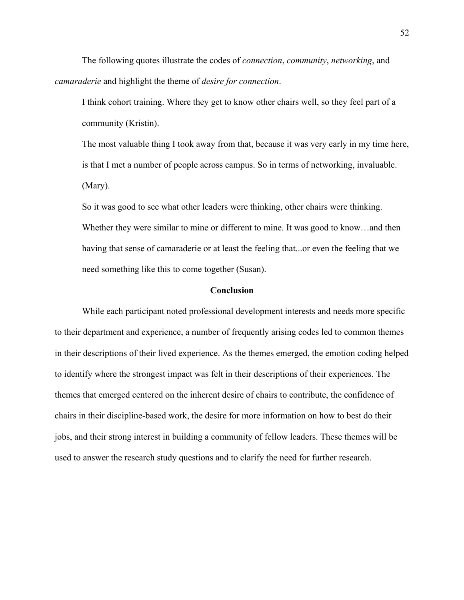The following quotes illustrate the codes of *connection*, *community*, *networking*, and *camaraderie* and highlight the theme of *desire for connection*.

I think cohort training. Where they get to know other chairs well, so they feel part of a community (Kristin).

The most valuable thing I took away from that, because it was very early in my time here, is that I met a number of people across campus. So in terms of networking, invaluable. (Mary).

So it was good to see what other leaders were thinking, other chairs were thinking. Whether they were similar to mine or different to mine. It was good to know...and then having that sense of camaraderie or at least the feeling that...or even the feeling that we need something like this to come together (Susan).

#### **Conclusion**

While each participant noted professional development interests and needs more specific to their department and experience, a number of frequently arising codes led to common themes in their descriptions of their lived experience. As the themes emerged, the emotion coding helped to identify where the strongest impact was felt in their descriptions of their experiences. The themes that emerged centered on the inherent desire of chairs to contribute, the confidence of chairs in their discipline-based work, the desire for more information on how to best do their jobs, and their strong interest in building a community of fellow leaders. These themes will be used to answer the research study questions and to clarify the need for further research.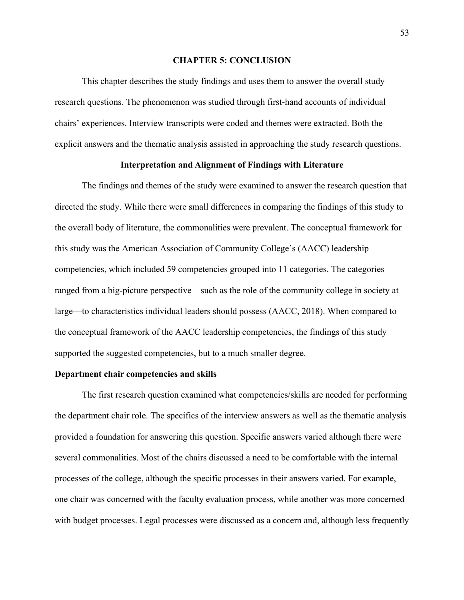# **CHAPTER 5: CONCLUSION**

This chapter describes the study findings and uses them to answer the overall study research questions. The phenomenon was studied through first-hand accounts of individual chairs' experiences. Interview transcripts were coded and themes were extracted. Both the explicit answers and the thematic analysis assisted in approaching the study research questions.

# **Interpretation and Alignment of Findings with Literature**

The findings and themes of the study were examined to answer the research question that directed the study. While there were small differences in comparing the findings of this study to the overall body of literature, the commonalities were prevalent. The conceptual framework for this study was the American Association of Community College's (AACC) leadership competencies, which included 59 competencies grouped into 11 categories. The categories ranged from a big-picture perspective—such as the role of the community college in society at large—to characteristics individual leaders should possess (AACC, 2018). When compared to the conceptual framework of the AACC leadership competencies, the findings of this study supported the suggested competencies, but to a much smaller degree.

#### **Department chair competencies and skills**

The first research question examined what competencies/skills are needed for performing the department chair role. The specifics of the interview answers as well as the thematic analysis provided a foundation for answering this question. Specific answers varied although there were several commonalities. Most of the chairs discussed a need to be comfortable with the internal processes of the college, although the specific processes in their answers varied. For example, one chair was concerned with the faculty evaluation process, while another was more concerned with budget processes. Legal processes were discussed as a concern and, although less frequently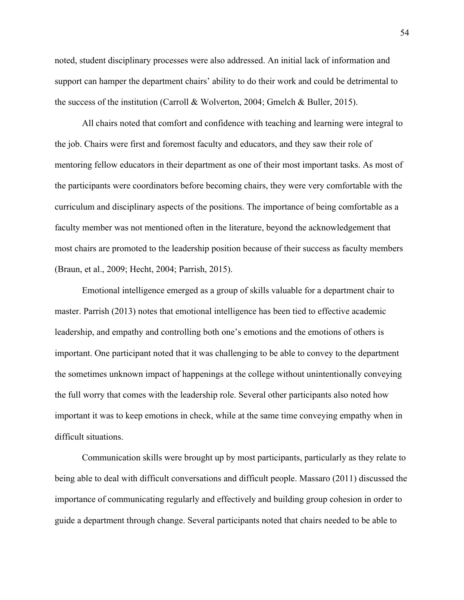noted, student disciplinary processes were also addressed. An initial lack of information and support can hamper the department chairs' ability to do their work and could be detrimental to the success of the institution (Carroll & Wolverton, 2004; Gmelch & Buller, 2015).

All chairs noted that comfort and confidence with teaching and learning were integral to the job. Chairs were first and foremost faculty and educators, and they saw their role of mentoring fellow educators in their department as one of their most important tasks. As most of the participants were coordinators before becoming chairs, they were very comfortable with the curriculum and disciplinary aspects of the positions. The importance of being comfortable as a faculty member was not mentioned often in the literature, beyond the acknowledgement that most chairs are promoted to the leadership position because of their success as faculty members (Braun, et al., 2009; Hecht, 2004; Parrish, 2015).

Emotional intelligence emerged as a group of skills valuable for a department chair to master. Parrish (2013) notes that emotional intelligence has been tied to effective academic leadership, and empathy and controlling both one's emotions and the emotions of others is important. One participant noted that it was challenging to be able to convey to the department the sometimes unknown impact of happenings at the college without unintentionally conveying the full worry that comes with the leadership role. Several other participants also noted how important it was to keep emotions in check, while at the same time conveying empathy when in difficult situations.

Communication skills were brought up by most participants, particularly as they relate to being able to deal with difficult conversations and difficult people. Massaro (2011) discussed the importance of communicating regularly and effectively and building group cohesion in order to guide a department through change. Several participants noted that chairs needed to be able to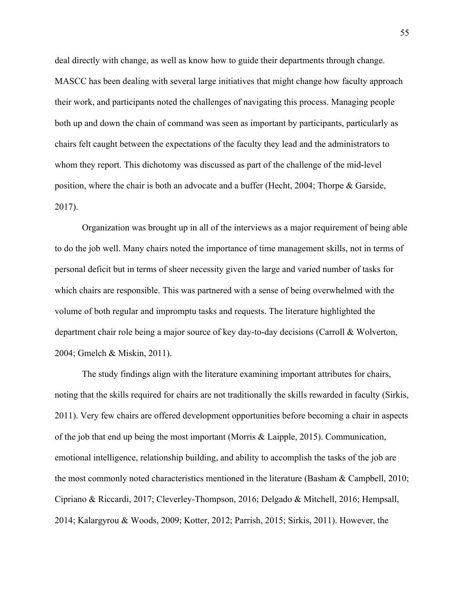deal directly with change, as well as know how to guide their departments through change. MASCC has been dealing with several large initiatives that might change how faculty approach their work, and participants noted the challenges of navigating this process. Managing people both up and down the chain of command was seen as important by participants, particularly as chairs felt caught between the expectations of the faculty they lead and the administrators to whom they report. This dichotomy was discussed as part of the challenge of the mid-level position, where the chair is both an advocate and a buffer (Hecht, 2004; Thorpe & Garside, 2017).

Organization was brought up in all of the interviews as a major requirement of being able to do the job well. Many chairs noted the importance of time management skills, not in terms of personal deficit but in terms of sheer necessity given the large and varied number of tasks for which chairs are responsible. This was partnered with a sense of being overwhelmed with the volume of both regular and impromptu tasks and requests. The literature highlighted the department chair role being a major source of key day-to-day decisions (Carroll & Wolverton, 2004; Gmelch & Miskin, 2011).

The study findings align with the literature examining important attributes for chairs, noting that the skills required for chairs are not traditionally the skills rewarded in faculty (Sirkis, 2011). Very few chairs are offered development opportunities before becoming a chair in aspects of the job that end up being the most important (Morris & Laipple, 2015). Communication, emotional intelligence, relationship building, and ability to accomplish the tasks of the job are the most commonly noted characteristics mentioned in the literature (Basham & Campbell, 2010; Cipriano & Riccardi, 2017; Cleverley-Thompson, 2016; Delgado & Mitchell, 2016; Hempsall, 2014; Kalargyrou & Woods, 2009; Kotter, 2012; Parrish, 2015; Sirkis, 2011). However, the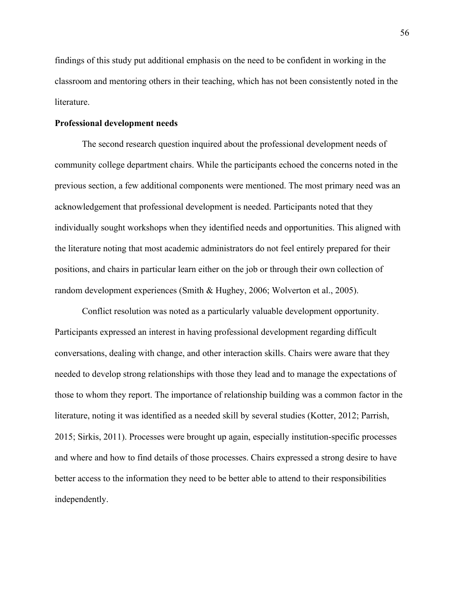findings of this study put additional emphasis on the need to be confident in working in the classroom and mentoring others in their teaching, which has not been consistently noted in the literature.

# **Professional development needs**

The second research question inquired about the professional development needs of community college department chairs. While the participants echoed the concerns noted in the previous section, a few additional components were mentioned. The most primary need was an acknowledgement that professional development is needed. Participants noted that they individually sought workshops when they identified needs and opportunities. This aligned with the literature noting that most academic administrators do not feel entirely prepared for their positions, and chairs in particular learn either on the job or through their own collection of random development experiences (Smith & Hughey, 2006; Wolverton et al., 2005).

Conflict resolution was noted as a particularly valuable development opportunity. Participants expressed an interest in having professional development regarding difficult conversations, dealing with change, and other interaction skills. Chairs were aware that they needed to develop strong relationships with those they lead and to manage the expectations of those to whom they report. The importance of relationship building was a common factor in the literature, noting it was identified as a needed skill by several studies (Kotter, 2012; Parrish, 2015; Sirkis, 2011). Processes were brought up again, especially institution-specific processes and where and how to find details of those processes. Chairs expressed a strong desire to have better access to the information they need to be better able to attend to their responsibilities independently.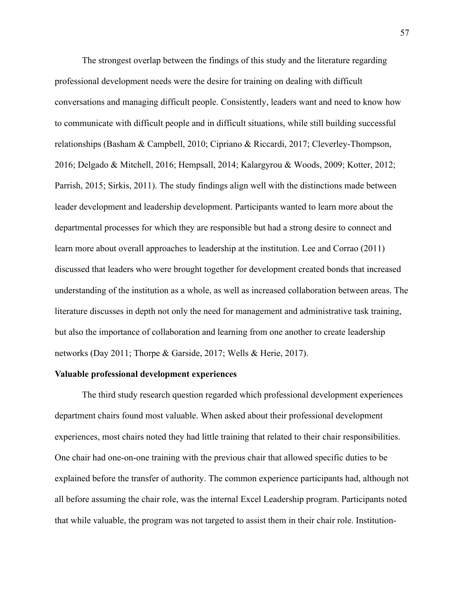The strongest overlap between the findings of this study and the literature regarding professional development needs were the desire for training on dealing with difficult conversations and managing difficult people. Consistently, leaders want and need to know how to communicate with difficult people and in difficult situations, while still building successful relationships (Basham & Campbell, 2010; Cipriano & Riccardi, 2017; Cleverley-Thompson, 2016; Delgado & Mitchell, 2016; Hempsall, 2014; Kalargyrou & Woods, 2009; Kotter, 2012; Parrish, 2015; Sirkis, 2011). The study findings align well with the distinctions made between leader development and leadership development. Participants wanted to learn more about the departmental processes for which they are responsible but had a strong desire to connect and learn more about overall approaches to leadership at the institution. Lee and Corrao (2011) discussed that leaders who were brought together for development created bonds that increased understanding of the institution as a whole, as well as increased collaboration between areas. The literature discusses in depth not only the need for management and administrative task training, but also the importance of collaboration and learning from one another to create leadership networks (Day 2011; Thorpe & Garside, 2017; Wells & Herie, 2017).

#### **Valuable professional development experiences**

The third study research question regarded which professional development experiences department chairs found most valuable. When asked about their professional development experiences, most chairs noted they had little training that related to their chair responsibilities. One chair had one-on-one training with the previous chair that allowed specific duties to be explained before the transfer of authority. The common experience participants had, although not all before assuming the chair role, was the internal Excel Leadership program. Participants noted that while valuable, the program was not targeted to assist them in their chair role. Institution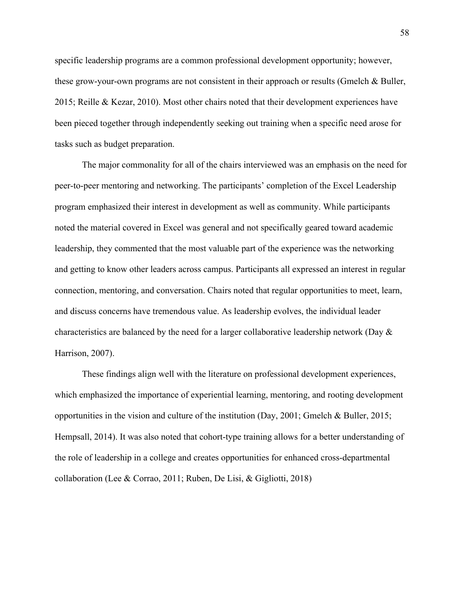specific leadership programs are a common professional development opportunity; however, these grow-your-own programs are not consistent in their approach or results (Gmelch & Buller, 2015; Reille & Kezar, 2010). Most other chairs noted that their development experiences have been pieced together through independently seeking out training when a specific need arose for tasks such as budget preparation.

The major commonality for all of the chairs interviewed was an emphasis on the need for peer-to-peer mentoring and networking. The participants' completion of the Excel Leadership program emphasized their interest in development as well as community. While participants noted the material covered in Excel was general and not specifically geared toward academic leadership, they commented that the most valuable part of the experience was the networking and getting to know other leaders across campus. Participants all expressed an interest in regular connection, mentoring, and conversation. Chairs noted that regular opportunities to meet, learn, and discuss concerns have tremendous value. As leadership evolves, the individual leader characteristics are balanced by the need for a larger collaborative leadership network (Day & Harrison, 2007).

These findings align well with the literature on professional development experiences, which emphasized the importance of experiential learning, mentoring, and rooting development opportunities in the vision and culture of the institution (Day, 2001; Gmelch & Buller, 2015; Hempsall, 2014). It was also noted that cohort-type training allows for a better understanding of the role of leadership in a college and creates opportunities for enhanced cross-departmental collaboration (Lee & Corrao, 2011; Ruben, De Lisi, & Gigliotti, 2018)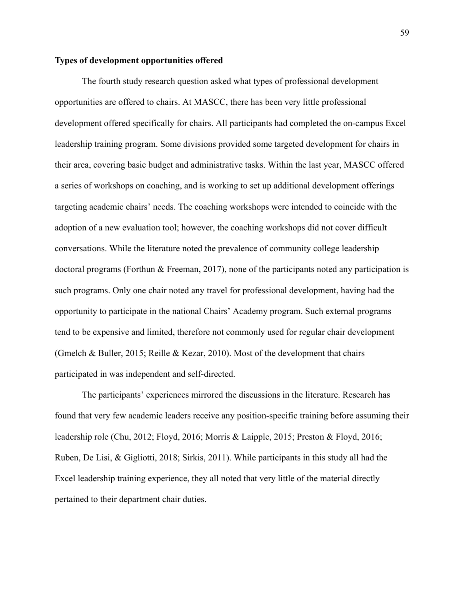#### **Types of development opportunities offered**

The fourth study research question asked what types of professional development opportunities are offered to chairs. At MASCC, there has been very little professional development offered specifically for chairs. All participants had completed the on-campus Excel leadership training program. Some divisions provided some targeted development for chairs in their area, covering basic budget and administrative tasks. Within the last year, MASCC offered a series of workshops on coaching, and is working to set up additional development offerings targeting academic chairs' needs. The coaching workshops were intended to coincide with the adoption of a new evaluation tool; however, the coaching workshops did not cover difficult conversations. While the literature noted the prevalence of community college leadership doctoral programs (Forthun & Freeman, 2017), none of the participants noted any participation is such programs. Only one chair noted any travel for professional development, having had the opportunity to participate in the national Chairs' Academy program. Such external programs tend to be expensive and limited, therefore not commonly used for regular chair development (Gmelch & Buller, 2015; Reille & Kezar, 2010). Most of the development that chairs participated in was independent and self-directed.

The participants' experiences mirrored the discussions in the literature. Research has found that very few academic leaders receive any position-specific training before assuming their leadership role (Chu, 2012; Floyd, 2016; Morris & Laipple, 2015; Preston & Floyd, 2016; Ruben, De Lisi, & Gigliotti, 2018; Sirkis, 2011). While participants in this study all had the Excel leadership training experience, they all noted that very little of the material directly pertained to their department chair duties.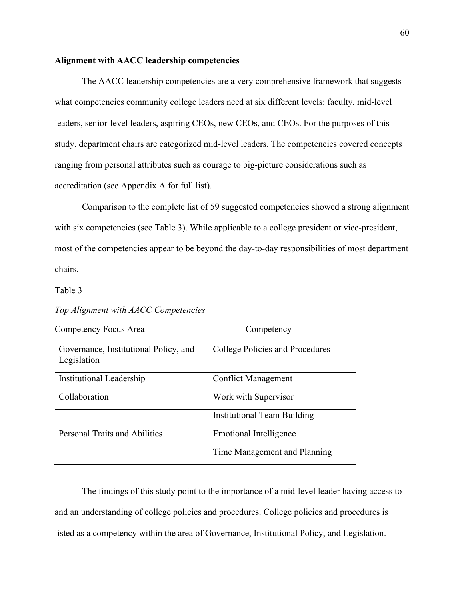# **Alignment with AACC leadership competencies**

The AACC leadership competencies are a very comprehensive framework that suggests what competencies community college leaders need at six different levels: faculty, mid-level leaders, senior-level leaders, aspiring CEOs, new CEOs, and CEOs. For the purposes of this study, department chairs are categorized mid-level leaders. The competencies covered concepts ranging from personal attributes such as courage to big-picture considerations such as accreditation (see Appendix A for full list).

Comparison to the complete list of 59 suggested competencies showed a strong alignment with six competencies (see Table 3). While applicable to a college president or vice-president, most of the competencies appear to be beyond the day-to-day responsibilities of most department chairs.

#### Table 3

# *Top Alignment with AACC Competencies*

| Competency Focus Area                                | Competency                         |
|------------------------------------------------------|------------------------------------|
| Governance, Institutional Policy, and<br>Legislation | College Policies and Procedures    |
| Institutional Leadership                             | <b>Conflict Management</b>         |
| Collaboration                                        | Work with Supervisor               |
|                                                      | <b>Institutional Team Building</b> |
| <b>Personal Traits and Abilities</b>                 | Emotional Intelligence             |
|                                                      | Time Management and Planning       |

The findings of this study point to the importance of a mid-level leader having access to and an understanding of college policies and procedures. College policies and procedures is listed as a competency within the area of Governance, Institutional Policy, and Legislation.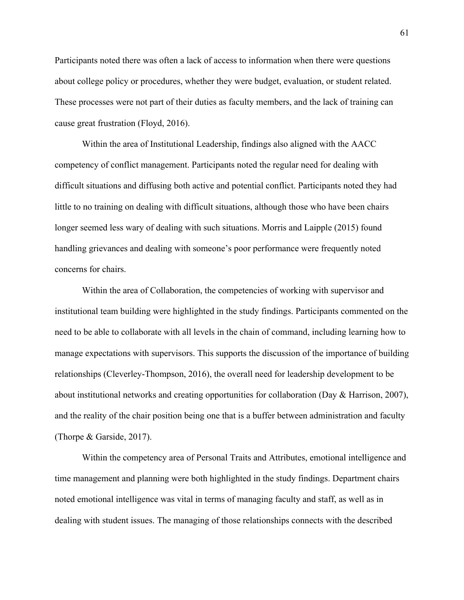Participants noted there was often a lack of access to information when there were questions about college policy or procedures, whether they were budget, evaluation, or student related. These processes were not part of their duties as faculty members, and the lack of training can cause great frustration (Floyd, 2016).

Within the area of Institutional Leadership, findings also aligned with the AACC competency of conflict management. Participants noted the regular need for dealing with difficult situations and diffusing both active and potential conflict. Participants noted they had little to no training on dealing with difficult situations, although those who have been chairs longer seemed less wary of dealing with such situations. Morris and Laipple (2015) found handling grievances and dealing with someone's poor performance were frequently noted concerns for chairs.

Within the area of Collaboration, the competencies of working with supervisor and institutional team building were highlighted in the study findings. Participants commented on the need to be able to collaborate with all levels in the chain of command, including learning how to manage expectations with supervisors. This supports the discussion of the importance of building relationships (Cleverley-Thompson, 2016), the overall need for leadership development to be about institutional networks and creating opportunities for collaboration (Day & Harrison, 2007), and the reality of the chair position being one that is a buffer between administration and faculty (Thorpe & Garside, 2017).

Within the competency area of Personal Traits and Attributes, emotional intelligence and time management and planning were both highlighted in the study findings. Department chairs noted emotional intelligence was vital in terms of managing faculty and staff, as well as in dealing with student issues. The managing of those relationships connects with the described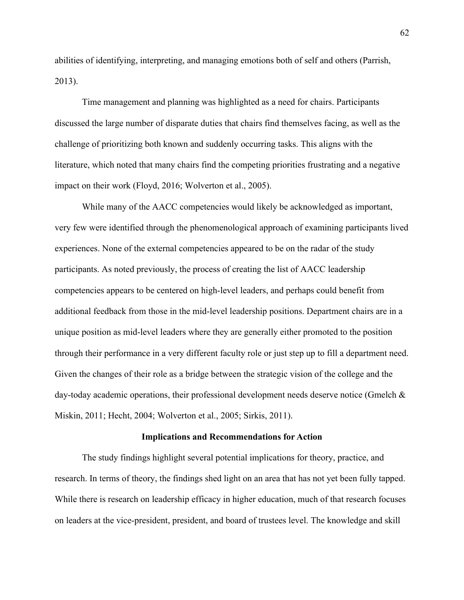abilities of identifying, interpreting, and managing emotions both of self and others (Parrish, 2013).

Time management and planning was highlighted as a need for chairs. Participants discussed the large number of disparate duties that chairs find themselves facing, as well as the challenge of prioritizing both known and suddenly occurring tasks. This aligns with the literature, which noted that many chairs find the competing priorities frustrating and a negative impact on their work (Floyd, 2016; Wolverton et al., 2005).

While many of the AACC competencies would likely be acknowledged as important, very few were identified through the phenomenological approach of examining participants lived experiences. None of the external competencies appeared to be on the radar of the study participants. As noted previously, the process of creating the list of AACC leadership competencies appears to be centered on high-level leaders, and perhaps could benefit from additional feedback from those in the mid-level leadership positions. Department chairs are in a unique position as mid-level leaders where they are generally either promoted to the position through their performance in a very different faculty role or just step up to fill a department need. Given the changes of their role as a bridge between the strategic vision of the college and the day-today academic operations, their professional development needs deserve notice (Gmelch & Miskin, 2011; Hecht, 2004; Wolverton et al., 2005; Sirkis, 2011).

#### **Implications and Recommendations for Action**

The study findings highlight several potential implications for theory, practice, and research. In terms of theory, the findings shed light on an area that has not yet been fully tapped. While there is research on leadership efficacy in higher education, much of that research focuses on leaders at the vice-president, president, and board of trustees level. The knowledge and skill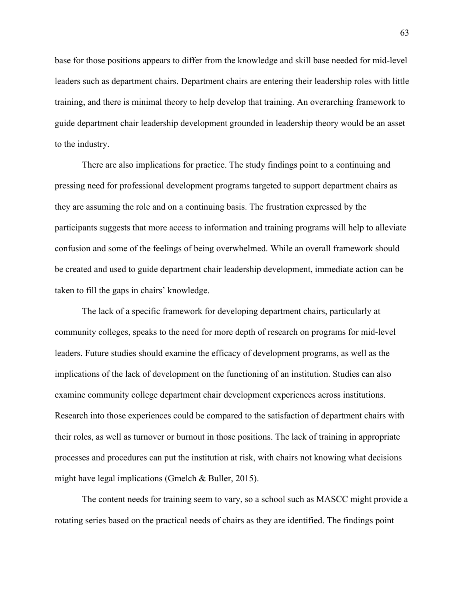base for those positions appears to differ from the knowledge and skill base needed for mid-level leaders such as department chairs. Department chairs are entering their leadership roles with little training, and there is minimal theory to help develop that training. An overarching framework to guide department chair leadership development grounded in leadership theory would be an asset to the industry.

There are also implications for practice. The study findings point to a continuing and pressing need for professional development programs targeted to support department chairs as they are assuming the role and on a continuing basis. The frustration expressed by the participants suggests that more access to information and training programs will help to alleviate confusion and some of the feelings of being overwhelmed. While an overall framework should be created and used to guide department chair leadership development, immediate action can be taken to fill the gaps in chairs' knowledge.

The lack of a specific framework for developing department chairs, particularly at community colleges, speaks to the need for more depth of research on programs for mid-level leaders. Future studies should examine the efficacy of development programs, as well as the implications of the lack of development on the functioning of an institution. Studies can also examine community college department chair development experiences across institutions. Research into those experiences could be compared to the satisfaction of department chairs with their roles, as well as turnover or burnout in those positions. The lack of training in appropriate processes and procedures can put the institution at risk, with chairs not knowing what decisions might have legal implications (Gmelch & Buller, 2015).

The content needs for training seem to vary, so a school such as MASCC might provide a rotating series based on the practical needs of chairs as they are identified. The findings point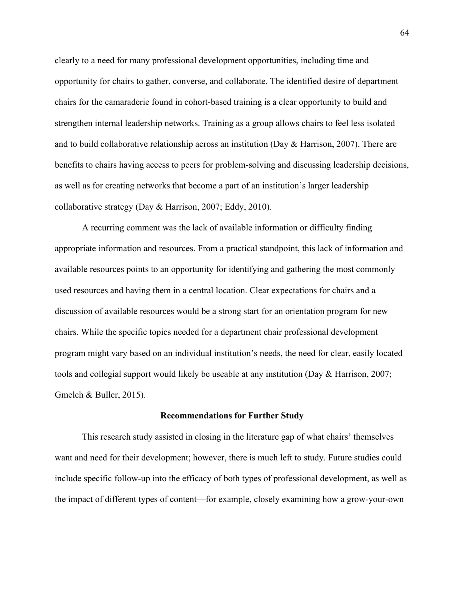clearly to a need for many professional development opportunities, including time and opportunity for chairs to gather, converse, and collaborate. The identified desire of department chairs for the camaraderie found in cohort-based training is a clear opportunity to build and strengthen internal leadership networks. Training as a group allows chairs to feel less isolated and to build collaborative relationship across an institution (Day & Harrison, 2007). There are benefits to chairs having access to peers for problem-solving and discussing leadership decisions, as well as for creating networks that become a part of an institution's larger leadership collaborative strategy (Day & Harrison, 2007; Eddy, 2010).

A recurring comment was the lack of available information or difficulty finding appropriate information and resources. From a practical standpoint, this lack of information and available resources points to an opportunity for identifying and gathering the most commonly used resources and having them in a central location. Clear expectations for chairs and a discussion of available resources would be a strong start for an orientation program for new chairs. While the specific topics needed for a department chair professional development program might vary based on an individual institution's needs, the need for clear, easily located tools and collegial support would likely be useable at any institution (Day & Harrison, 2007; Gmelch & Buller, 2015).

#### **Recommendations for Further Study**

This research study assisted in closing in the literature gap of what chairs' themselves want and need for their development; however, there is much left to study. Future studies could include specific follow-up into the efficacy of both types of professional development, as well as the impact of different types of content—for example, closely examining how a grow-your-own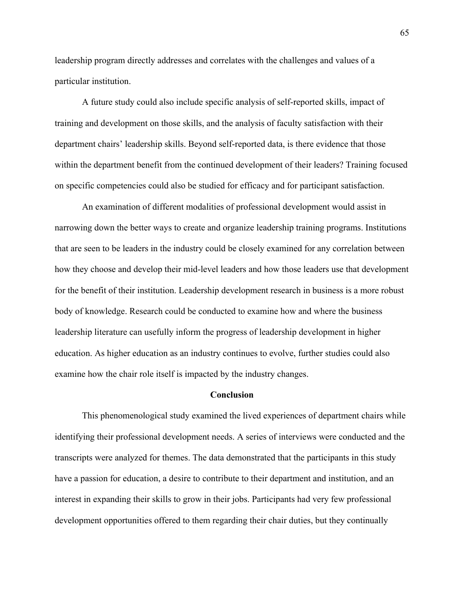leadership program directly addresses and correlates with the challenges and values of a particular institution.

A future study could also include specific analysis of self-reported skills, impact of training and development on those skills, and the analysis of faculty satisfaction with their department chairs' leadership skills. Beyond self-reported data, is there evidence that those within the department benefit from the continued development of their leaders? Training focused on specific competencies could also be studied for efficacy and for participant satisfaction.

An examination of different modalities of professional development would assist in narrowing down the better ways to create and organize leadership training programs. Institutions that are seen to be leaders in the industry could be closely examined for any correlation between how they choose and develop their mid-level leaders and how those leaders use that development for the benefit of their institution. Leadership development research in business is a more robust body of knowledge. Research could be conducted to examine how and where the business leadership literature can usefully inform the progress of leadership development in higher education. As higher education as an industry continues to evolve, further studies could also examine how the chair role itself is impacted by the industry changes.

#### **Conclusion**

This phenomenological study examined the lived experiences of department chairs while identifying their professional development needs. A series of interviews were conducted and the transcripts were analyzed for themes. The data demonstrated that the participants in this study have a passion for education, a desire to contribute to their department and institution, and an interest in expanding their skills to grow in their jobs. Participants had very few professional development opportunities offered to them regarding their chair duties, but they continually

65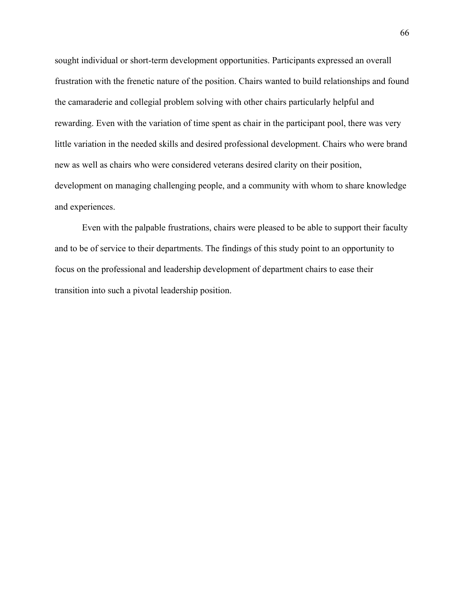sought individual or short-term development opportunities. Participants expressed an overall frustration with the frenetic nature of the position. Chairs wanted to build relationships and found the camaraderie and collegial problem solving with other chairs particularly helpful and rewarding. Even with the variation of time spent as chair in the participant pool, there was very little variation in the needed skills and desired professional development. Chairs who were brand new as well as chairs who were considered veterans desired clarity on their position, development on managing challenging people, and a community with whom to share knowledge and experiences.

Even with the palpable frustrations, chairs were pleased to be able to support their faculty and to be of service to their departments. The findings of this study point to an opportunity to focus on the professional and leadership development of department chairs to ease their transition into such a pivotal leadership position.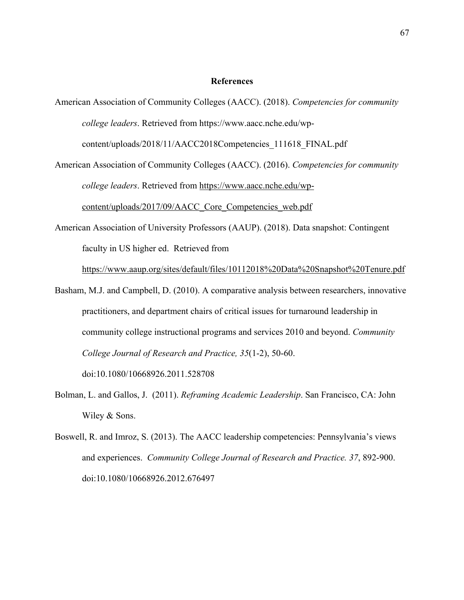#### **References**

- American Association of Community Colleges (AACC). (2018). *Competencies for community college leaders*. Retrieved from https://www.aacc.nche.edu/wpcontent/uploads/2018/11/AACC2018Competencies\_111618\_FINAL.pdf
- American Association of Community Colleges (AACC). (2016). *Competencies for community college leaders*. Retrieved from https://www.aacc.nche.edu/wpcontent/uploads/2017/09/AACC\_Core\_Competencies\_web.pdf
- American Association of University Professors (AAUP). (2018). Data snapshot: Contingent faculty in US higher ed. Retrieved from

https://www.aaup.org/sites/default/files/10112018%20Data%20Snapshot%20Tenure.pdf

Basham, M.J. and Campbell, D. (2010). A comparative analysis between researchers, innovative practitioners, and department chairs of critical issues for turnaround leadership in community college instructional programs and services 2010 and beyond. *Community College Journal of Research and Practice, 35*(1-2), 50-60.

doi:10.1080/10668926.2011.528708

- Bolman, L. and Gallos, J. (2011). *Reframing Academic Leadership*. San Francisco, CA: John Wiley & Sons.
- Boswell, R. and Imroz, S. (2013). The AACC leadership competencies: Pennsylvania's views and experiences. *Community College Journal of Research and Practice. 37*, 892-900. doi:10.1080/10668926.2012.676497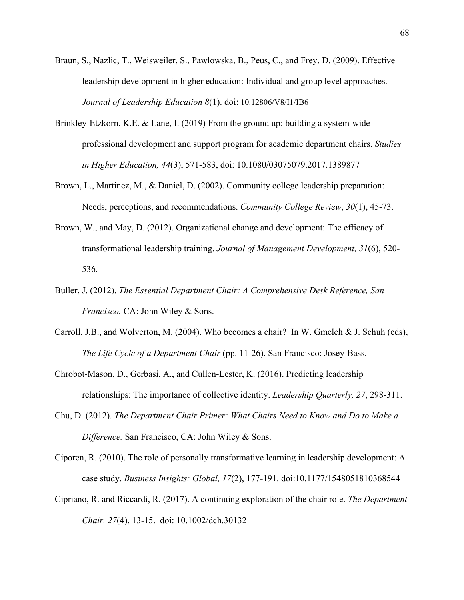- Braun, S., Nazlic, T., Weisweiler, S., Pawlowska, B., Peus, C., and Frey, D. (2009). Effective leadership development in higher education: Individual and group level approaches. *Journal of Leadership Education 8*(1). doi: 10.12806/V8/I1/IB6
- Brinkley-Etzkorn. K.E. & Lane, I. (2019) From the ground up: building a system-wide professional development and support program for academic department chairs. *Studies in Higher Education, 44*(3), 571-583, doi: 10.1080/03075079.2017.1389877
- Brown, L., Martinez, M., & Daniel, D. (2002). Community college leadership preparation: Needs, perceptions, and recommendations. *Community College Review*, *30*(1), 45-73.
- Brown, W., and May, D. (2012). Organizational change and development: The efficacy of transformational leadership training. *Journal of Management Development, 31*(6), 520- 536.
- Buller, J. (2012). *The Essential Department Chair: A Comprehensive Desk Reference, San Francisco.* CA: John Wiley & Sons.
- Carroll, J.B., and Wolverton, M. (2004). Who becomes a chair? In W. Gmelch & J. Schuh (eds), *The Life Cycle of a Department Chair* (pp. 11-26). San Francisco: Josey-Bass.
- Chrobot-Mason, D., Gerbasi, A., and Cullen-Lester, K. (2016). Predicting leadership relationships: The importance of collective identity. *Leadership Quarterly, 27*, 298-311.
- Chu, D. (2012). *The Department Chair Primer: What Chairs Need to Know and Do to Make a Difference.* San Francisco, CA: John Wiley & Sons.
- Ciporen, R. (2010). The role of personally transformative learning in leadership development: A case study. *Business Insights: Global, 17*(2), 177-191. doi:10.1177/1548051810368544
- Cipriano, R. and Riccardi, R. (2017). A continuing exploration of the chair role. *The Department Chair, 27(4), 13-15. doi:* 10.1002/dch.30132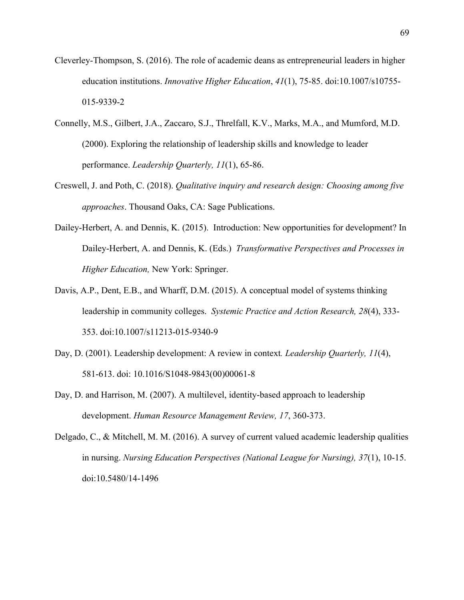- Cleverley-Thompson, S. (2016). The role of academic deans as entrepreneurial leaders in higher education institutions. *Innovative Higher Education*, *41*(1), 75-85. doi:10.1007/s10755- 015-9339-2
- Connelly, M.S., Gilbert, J.A., Zaccaro, S.J., Threlfall, K.V., Marks, M.A., and Mumford, M.D. (2000). Exploring the relationship of leadership skills and knowledge to leader performance. *Leadership Quarterly, 11*(1), 65-86.
- Creswell, J. and Poth, C. (2018). *Qualitative inquiry and research design: Choosing among five approaches*. Thousand Oaks, CA: Sage Publications.
- Dailey-Herbert, A. and Dennis, K. (2015). Introduction: New opportunities for development? In Dailey-Herbert, A. and Dennis, K. (Eds.) *Transformative Perspectives and Processes in Higher Education,* New York: Springer.
- Davis, A.P., Dent, E.B., and Wharff, D.M. (2015). A conceptual model of systems thinking leadership in community colleges. *Systemic Practice and Action Research, 28*(4), 333- 353. doi:10.1007/s11213-015-9340-9
- Day, D. (2001). Leadership development: A review in context*. Leadership Quarterly, 11*(4), 581-613. doi: 10.1016/S1048-9843(00)00061-8
- Day, D. and Harrison, M. (2007). A multilevel, identity-based approach to leadership development. *Human Resource Management Review, 17*, 360-373.
- Delgado, C., & Mitchell, M. M. (2016). A survey of current valued academic leadership qualities in nursing. *Nursing Education Perspectives (National League for Nursing), 37*(1), 10-15. doi:10.5480/14-1496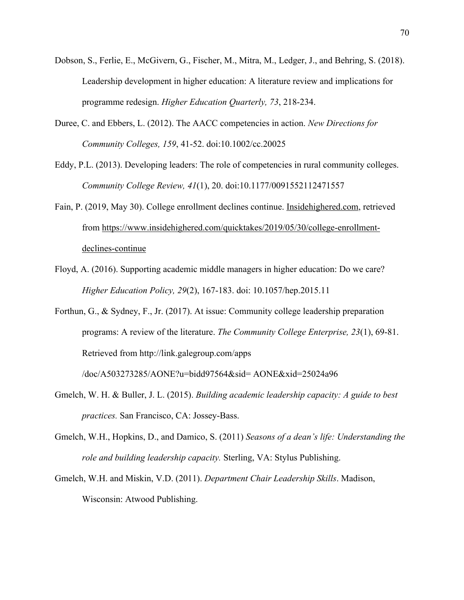- Dobson, S., Ferlie, E., McGivern, G., Fischer, M., Mitra, M., Ledger, J., and Behring, S. (2018). Leadership development in higher education: A literature review and implications for programme redesign. *Higher Education Quarterly, 73*, 218-234.
- Duree, C. and Ebbers, L. (2012). The AACC competencies in action. *New Directions for Community Colleges, 159*, 41-52. doi:10.1002/cc.20025
- Eddy, P.L. (2013). Developing leaders: The role of competencies in rural community colleges. *Community College Review, 41*(1), 20. doi:10.1177/0091552112471557
- Fain, P. (2019, May 30). College enrollment declines continue. Insidehighered.com, retrieved from https://www.insidehighered.com/quicktakes/2019/05/30/college-enrollmentdeclines-continue
- Floyd, A. (2016). Supporting academic middle managers in higher education: Do we care? *Higher Education Policy, 29*(2), 167-183. doi: 10.1057/hep.2015.11
- Forthun, G., & Sydney, F., Jr. (2017). At issue: Community college leadership preparation programs: A review of the literature. *The Community College Enterprise, 23*(1), 69-81. Retrieved from http://link.galegroup.com/apps

/doc/A503273285/AONE?u=bidd97564&sid= AONE&xid=25024a96

- Gmelch, W. H. & Buller, J. L. (2015). *Building academic leadership capacity: A guide to best practices.* San Francisco, CA: Jossey-Bass.
- Gmelch, W.H., Hopkins, D., and Damico, S. (2011) *Seasons of a dean's life: Understanding the role and building leadership capacity.* Sterling, VA: Stylus Publishing.
- Gmelch, W.H. and Miskin, V.D. (2011). *Department Chair Leadership Skills*. Madison, Wisconsin: Atwood Publishing.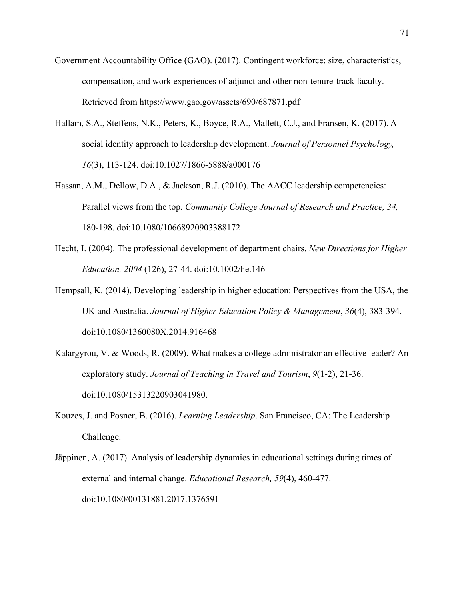- Government Accountability Office (GAO). (2017). Contingent workforce: size, characteristics, compensation, and work experiences of adjunct and other non-tenure-track faculty. Retrieved from https://www.gao.gov/assets/690/687871.pdf
- Hallam, S.A., Steffens, N.K., Peters, K., Boyce, R.A., Mallett, C.J., and Fransen, K. (2017). A social identity approach to leadership development. *Journal of Personnel Psychology, 16*(3), 113-124. doi:10.1027/1866-5888/a000176
- Hassan, A.M., Dellow, D.A., & Jackson, R.J. (2010). The AACC leadership competencies: Parallel views from the top. *Community College Journal of Research and Practice, 34,* 180-198. doi:10.1080/10668920903388172
- Hecht, I. (2004). The professional development of department chairs. *New Directions for Higher Education, 2004* (126), 27-44. doi:10.1002/he.146
- Hempsall, K. (2014). Developing leadership in higher education: Perspectives from the USA, the UK and Australia. *Journal of Higher Education Policy & Management*, *36*(4), 383-394. doi:10.1080/1360080X.2014.916468
- Kalargyrou, V. & Woods, R. (2009). What makes a college administrator an effective leader? An exploratory study. *Journal of Teaching in Travel and Tourism*, *9*(1-2), 21-36. doi:10.1080/15313220903041980.
- Kouzes, J. and Posner, B. (2016). *Learning Leadership*. San Francisco, CA: The Leadership Challenge.
- Jäppinen, A. (2017). Analysis of leadership dynamics in educational settings during times of external and internal change. *Educational Research, 59*(4), 460-477. doi:10.1080/00131881.2017.1376591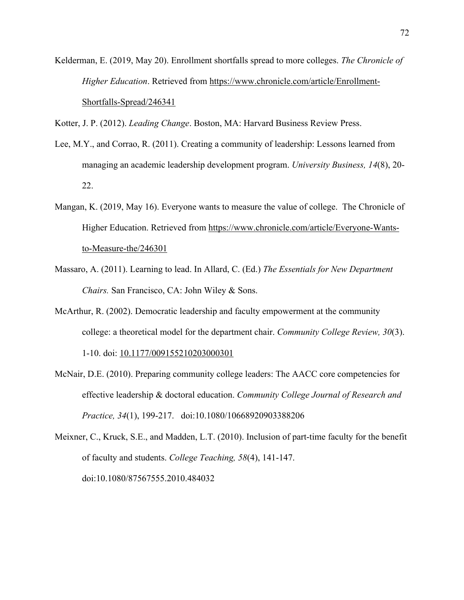Kelderman, E. (2019, May 20). Enrollment shortfalls spread to more colleges. *The Chronicle of Higher Education*. Retrieved from https://www.chronicle.com/article/Enrollment-Shortfalls-Spread/246341

Kotter, J. P. (2012). *Leading Change*. Boston, MA: Harvard Business Review Press.

- Lee, M.Y., and Corrao, R. (2011). Creating a community of leadership: Lessons learned from managing an academic leadership development program. *University Business, 14*(8), 20- 22.
- Mangan, K. (2019, May 16). Everyone wants to measure the value of college. The Chronicle of Higher Education. Retrieved from https://www.chronicle.com/article/Everyone-Wantsto-Measure-the/246301
- Massaro, A. (2011). Learning to lead. In Allard, C. (Ed.) *The Essentials for New Department Chairs.* San Francisco, CA: John Wiley & Sons.
- McArthur, R. (2002). Democratic leadership and faculty empowerment at the community college: a theoretical model for the department chair. *Community College Review, 30*(3). 1-10. doi: 10.1177/009155210203000301
- McNair, D.E. (2010). Preparing community college leaders: The AACC core competencies for effective leadership & doctoral education. *Community College Journal of Research and Practice, 34*(1), 199-217. doi:10.1080/10668920903388206

Meixner, C., Kruck, S.E., and Madden, L.T. (2010). Inclusion of part-time faculty for the benefit of faculty and students. *College Teaching, 58*(4), 141-147. doi:10.1080/87567555.2010.484032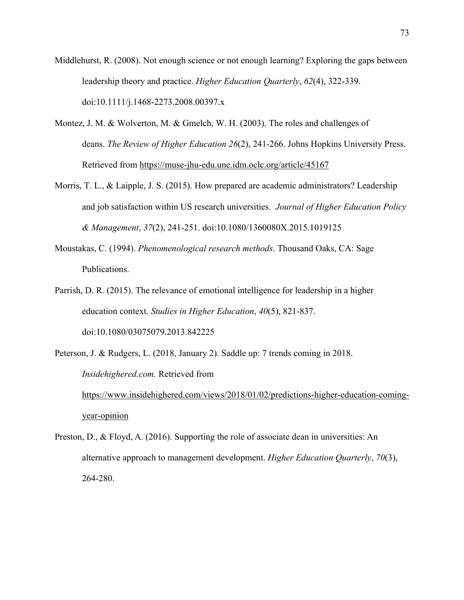- Middlehurst, R. (2008). Not enough science or not enough learning? Exploring the gaps between leadership theory and practice. *Higher Education Quarterly*, *62*(4), 322-339. doi:10.1111/j.1468-2273.2008.00397.x
- Montez, J. M. & Wolverton, M. & Gmelch, W. H. (2003). The roles and challenges of deans. *The Review of Higher Education 26*(2), 241-266. Johns Hopkins University Press. Retrieved from https://muse-jhu-edu.une.idm.oclc.org/article/45167
- Morris, T. L., & Laipple, J. S. (2015). How prepared are academic administrators? Leadership and job satisfaction within US research universities. *Journal of Higher Education Policy & Management*, *37*(2), 241-251. doi:10.1080/1360080X.2015.1019125
- Moustakas, C. (1994). *Phenomenological research methods*. Thousand Oaks, CA: Sage Publications.
- Parrish, D. R. (2015). The relevance of emotional intelligence for leadership in a higher education context. *Studies in Higher Education*, *40*(5), 821-837. doi:10.1080/03075079.2013.842225
- Peterson, J. & Rudgers, L. (2018, January 2). Saddle up: 7 trends coming in 2018. *Insidehighered.com.* Retrieved from https://www.insidehighered.com/views/2018/01/02/predictions-higher-education-comingyear-opinion
- Preston, D., & Floyd, A. (2016). Supporting the role of associate dean in universities: An alternative approach to management development. *Higher Education Quarterly*, *70*(3), 264-280.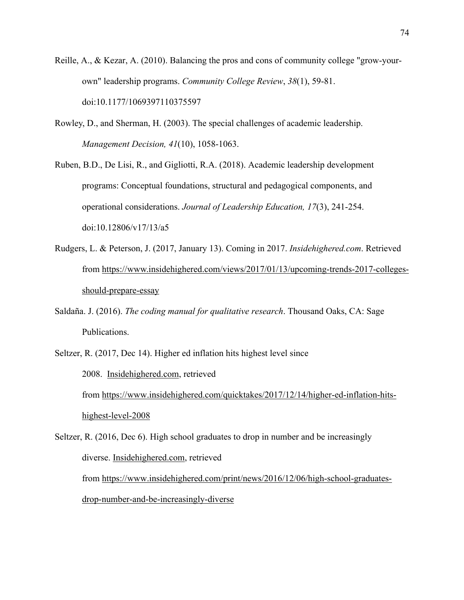- Reille, A., & Kezar, A. (2010). Balancing the pros and cons of community college "grow-yourown" leadership programs. *Community College Review*, *38*(1), 59-81. doi:10.1177/1069397110375597
- Rowley, D., and Sherman, H. (2003). The special challenges of academic leadership. *Management Decision, 41*(10), 1058-1063.
- Ruben, B.D., De Lisi, R., and Gigliotti, R.A. (2018). Academic leadership development programs: Conceptual foundations, structural and pedagogical components, and operational considerations. *Journal of Leadership Education, 17*(3), 241-254. doi:10.12806/v17/13/a5
- Rudgers, L. & Peterson, J. (2017, January 13). Coming in 2017. *Insidehighered.com*. Retrieved from https://www.insidehighered.com/views/2017/01/13/upcoming-trends-2017-collegesshould-prepare-essay
- Saldaña. J. (2016). *The coding manual for qualitative research*. Thousand Oaks, CA: Sage Publications.
- Seltzer, R. (2017, Dec 14). Higher ed inflation hits highest level since 2008. Insidehighered.com, retrieved from https://www.insidehighered.com/quicktakes/2017/12/14/higher-ed-inflation-hitshighest-level-2008
- Seltzer, R. (2016, Dec 6). High school graduates to drop in number and be increasingly diverse. Insidehighered.com, retrieved from https://www.insidehighered.com/print/news/2016/12/06/high-school-graduatesdrop-number-and-be-increasingly-diverse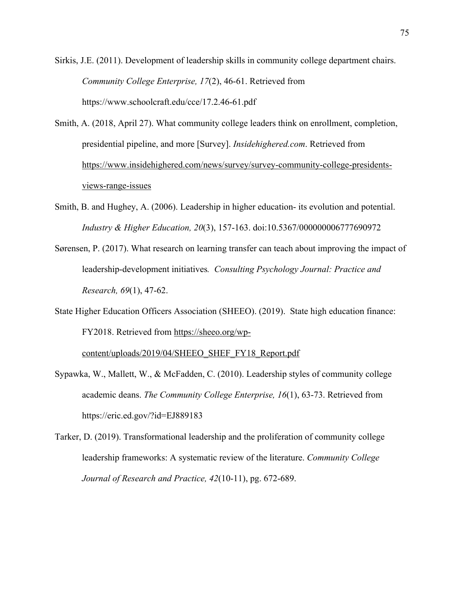Sirkis, J.E. (2011). Development of leadership skills in community college department chairs. *Community College Enterprise, 17*(2), 46-61. Retrieved from https://www.schoolcraft.edu/cce/17.2.46-61.pdf

Smith, A. (2018, April 27). What community college leaders think on enrollment, completion, presidential pipeline, and more [Survey]. *Insidehighered.com*. Retrieved from https://www.insidehighered.com/news/survey/survey-community-college-presidentsviews-range-issues

- Smith, B. and Hughey, A. (2006). Leadership in higher education- its evolution and potential. *Industry & Higher Education, 20*(3), 157-163. doi:10.5367/000000006777690972
- Sørensen, P. (2017). What research on learning transfer can teach about improving the impact of leadership-development initiatives*. Consulting Psychology Journal: Practice and Research, 69*(1), 47-62.
- State Higher Education Officers Association (SHEEO). (2019). State high education finance: FY2018. Retrieved from https://sheeo.org/wp-

content/uploads/2019/04/SHEEO\_SHEF\_FY18\_Report.pdf

- Sypawka, W., Mallett, W., & McFadden, C. (2010). Leadership styles of community college academic deans. *The Community College Enterprise, 16*(1), 63-73. Retrieved from https://eric.ed.gov/?id=EJ889183
- Tarker, D. (2019). Transformational leadership and the proliferation of community college leadership frameworks: A systematic review of the literature. *Community College Journal of Research and Practice, 42*(10-11), pg. 672-689.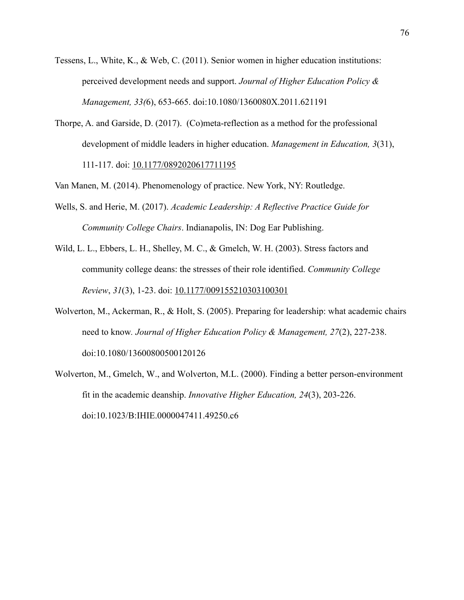- Tessens, L., White, K., & Web, C. (2011). Senior women in higher education institutions: perceived development needs and support. *Journal of Higher Education Policy & Management, 33(*6), 653-665. doi:10.1080/1360080X.2011.621191
- Thorpe, A. and Garside, D. (2017). (Co)meta-reflection as a method for the professional development of middle leaders in higher education. *Management in Education, 3*(31), 111-117. doi: 10.1177/0892020617711195

Van Manen, M. (2014). Phenomenology of practice. New York, NY: Routledge.

- Wells, S. and Herie, M. (2017). *Academic Leadership: A Reflective Practice Guide for Community College Chairs*. Indianapolis, IN: Dog Ear Publishing.
- Wild, L. L., Ebbers, L. H., Shelley, M. C., & Gmelch, W. H. (2003). Stress factors and community college deans: the stresses of their role identified. *Community College Review*, *31*(3), 1-23. doi: 10.1177/009155210303100301
- Wolverton, M., Ackerman, R., & Holt, S. (2005). Preparing for leadership: what academic chairs need to know*. Journal of Higher Education Policy & Management, 27*(2), 227-238. doi:10.1080/13600800500120126
- Wolverton, M., Gmelch, W., and Wolverton, M.L. (2000). Finding a better person-environment fit in the academic deanship. *Innovative Higher Education, 24*(3), 203-226. doi:10.1023/B:IHIE.0000047411.49250.c6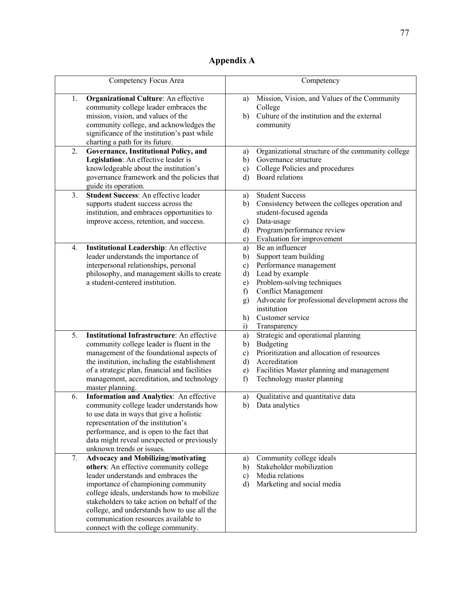# **Appendix A**

| Competency Focus Area                                                                                                                                                                                                                                                                                                                                                                                | Competency                                                                                                                                                                                                                                                                                                                                             |
|------------------------------------------------------------------------------------------------------------------------------------------------------------------------------------------------------------------------------------------------------------------------------------------------------------------------------------------------------------------------------------------------------|--------------------------------------------------------------------------------------------------------------------------------------------------------------------------------------------------------------------------------------------------------------------------------------------------------------------------------------------------------|
| 1.<br><b>Organizational Culture:</b> An effective<br>community college leader embraces the<br>mission, vision, and values of the<br>community college, and acknowledges the<br>significance of the institution's past while<br>charting a path for its future.                                                                                                                                       | Mission, Vision, and Values of the Community<br>a)<br>College<br>Culture of the institution and the external<br>b)<br>community                                                                                                                                                                                                                        |
| 2.<br>Governance, Institutional Policy, and<br>Legislation: An effective leader is<br>knowledgeable about the institution's<br>governance framework and the policies that<br>guide its operation.                                                                                                                                                                                                    | Organizational structure of the community college<br>a)<br>Governance structure<br>b)<br>College Policies and procedures<br>c)<br>Board relations<br>d)                                                                                                                                                                                                |
| Student Success: An effective leader<br>3.<br>supports student success across the<br>institution, and embraces opportunities to<br>improve access, retention, and success.                                                                                                                                                                                                                           | <b>Student Success</b><br>a)<br>Consistency between the colleges operation and<br>b)<br>student-focused agenda<br>Data-usage<br>c)<br>Program/performance review<br>d)<br>Evaluation for improvement<br>e)                                                                                                                                             |
| Institutional Leadership: An effective<br>4.<br>leader understands the importance of<br>interpersonal relationships, personal<br>philosophy, and management skills to create<br>a student-centered institution.                                                                                                                                                                                      | Be an influencer<br>a)<br>Support team building<br>b)<br>Performance management<br>$\mathbf{c})$<br>Lead by example<br>$\mathbf{d}$<br>Problem-solving techniques<br>e)<br><b>Conflict Management</b><br>f)<br>Advocate for professional development across the<br>$\mathbf{g}$<br>institution<br>Customer service<br>h)<br>$\ddot{1}$<br>Transparency |
| 5.<br><b>Institutional Infrastructure:</b> An effective<br>community college leader is fluent in the<br>management of the foundational aspects of<br>the institution, including the establishment<br>of a strategic plan, financial and facilities<br>management, accreditation, and technology<br>master planning.                                                                                  | Strategic and operational planning<br>a)<br>Budgeting<br>b)<br>Prioritization and allocation of resources<br>$\mathbf{c}$<br>Accreditation<br>d)<br>Facilities Master planning and management<br>e)<br>f<br>Technology master planning                                                                                                                 |
| 6.<br>Information and Analytics: An effective<br>community college leader understands how<br>to use data in ways that give a holistic<br>representation of the institution's<br>performance, and is open to the fact that<br>data might reveal unexpected or previously<br>unknown trends or issues.                                                                                                 | Qualitative and quantitative data<br>a)<br>Data analytics<br>b)                                                                                                                                                                                                                                                                                        |
| 7.<br><b>Advocacy and Mobilizing/motivating</b><br>others: An effective community college<br>leader understands and embraces the<br>importance of championing community<br>college ideals, understands how to mobilize<br>stakeholders to take action on behalf of the<br>college, and understands how to use all the<br>communication resources available to<br>connect with the college community. | Community college ideals<br>a)<br>Stakeholder mobilization<br>b)<br>Media relations<br>c)<br>Marketing and social media<br>d)                                                                                                                                                                                                                          |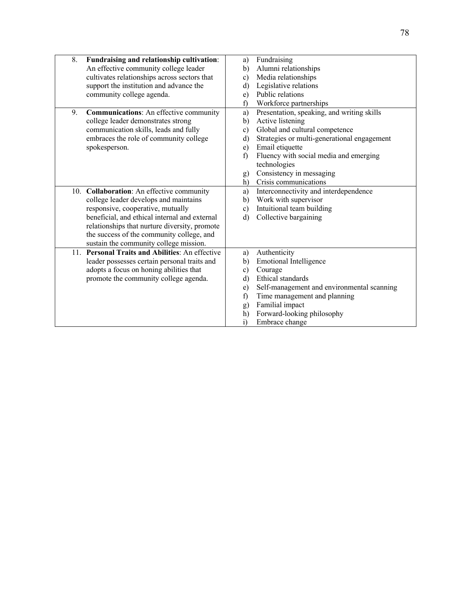| 8.  | Fundraising and relationship cultivation:       | a)           | Fundraising                                 |
|-----|-------------------------------------------------|--------------|---------------------------------------------|
|     | An effective community college leader           | b)           | Alumni relationships                        |
|     | cultivates relationships across sectors that    | c)           | Media relationships                         |
|     | support the institution and advance the         | d)           | Legislative relations                       |
|     | community college agenda.                       | e)           | Public relations                            |
|     |                                                 | f)           | Workforce partnerships                      |
| 9.  | <b>Communications:</b> An effective community   | a)           | Presentation, speaking, and writing skills  |
|     | college leader demonstrates strong              | b)           | Active listening                            |
|     | communication skills, leads and fully           | c)           | Global and cultural competence              |
|     | embraces the role of community college          | d)           | Strategies or multi-generational engagement |
|     | spokesperson.                                   | e)           | Email etiquette                             |
|     |                                                 | f            | Fluency with social media and emerging      |
|     |                                                 |              | technologies                                |
|     |                                                 | g)           | Consistency in messaging                    |
|     |                                                 | h)           | Crisis communications                       |
| 10. | <b>Collaboration:</b> An effective community    | a)           | Interconnectivity and interdependence       |
|     | college leader develops and maintains           | b)           | Work with supervisor                        |
|     | responsive, cooperative, mutually               | $\mathbf{c}$ | Intuitional team building                   |
|     | beneficial, and ethical internal and external   | d)           | Collective bargaining                       |
|     | relationships that nurture diversity, promote   |              |                                             |
|     | the success of the community college, and       |              |                                             |
|     | sustain the community college mission.          |              |                                             |
|     | 11. Personal Traits and Abilities: An effective | a)           | Authenticity                                |
|     | leader possesses certain personal traits and    | b)           | <b>Emotional Intelligence</b>               |
|     | adopts a focus on honing abilities that         | c)           | Courage                                     |
|     | promote the community college agenda.           | d)           | Ethical standards                           |
|     |                                                 | e)           | Self-management and environmental scanning  |
|     |                                                 | f            | Time management and planning                |
|     |                                                 | g)           | Familial impact                             |
|     |                                                 | h)           | Forward-looking philosophy                  |
|     |                                                 | $\ddot{1}$   | Embrace change                              |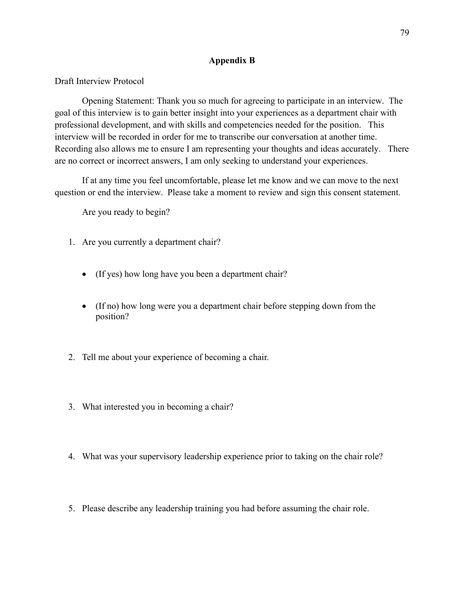#### **Appendix B**

Draft Interview Protocol

Opening Statement: Thank you so much for agreeing to participate in an interview. The goal of this interview is to gain better insight into your experiences as a department chair with professional development, and with skills and competencies needed for the position. This interview will be recorded in order for me to transcribe our conversation at another time. Recording also allows me to ensure I am representing your thoughts and ideas accurately. There are no correct or incorrect answers, I am only seeking to understand your experiences.

If at any time you feel uncomfortable, please let me know and we can move to the next question or end the interview. Please take a moment to review and sign this consent statement.

Are you ready to begin?

- 1. Are you currently a department chair?
	- (If yes) how long have you been a department chair?
	- (If no) how long were you a department chair before stepping down from the position?
- 2. Tell me about your experience of becoming a chair.
- 3. What interested you in becoming a chair?
- 4. What was your supervisory leadership experience prior to taking on the chair role?
- 5. Please describe any leadership training you had before assuming the chair role.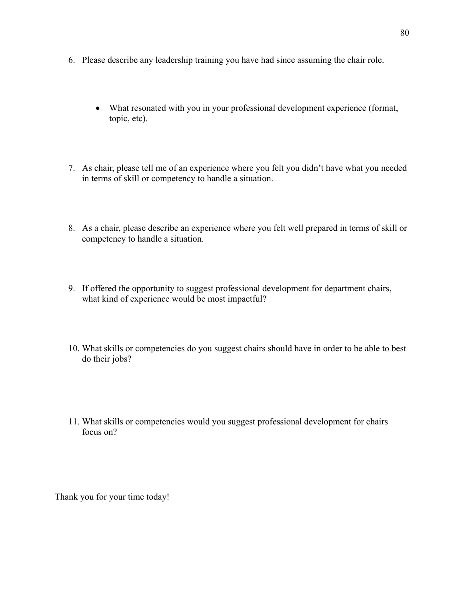- 6. Please describe any leadership training you have had since assuming the chair role.
	- What resonated with you in your professional development experience (format, topic, etc).
- 7. As chair, please tell me of an experience where you felt you didn't have what you needed in terms of skill or competency to handle a situation.
- 8. As a chair, please describe an experience where you felt well prepared in terms of skill or competency to handle a situation.
- 9. If offered the opportunity to suggest professional development for department chairs, what kind of experience would be most impactful?
- 10. What skills or competencies do you suggest chairs should have in order to be able to best do their jobs?
- 11. What skills or competencies would you suggest professional development for chairs focus on?

Thank you for your time today!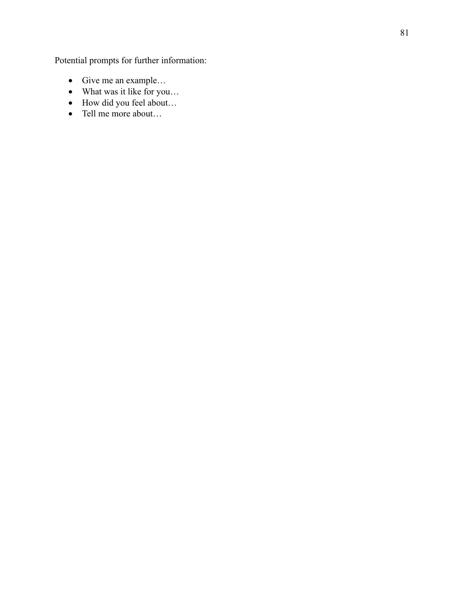Potential prompts for further information:

- Give me an example…
- What was it like for you…
- How did you feel about...
- Tell me more about…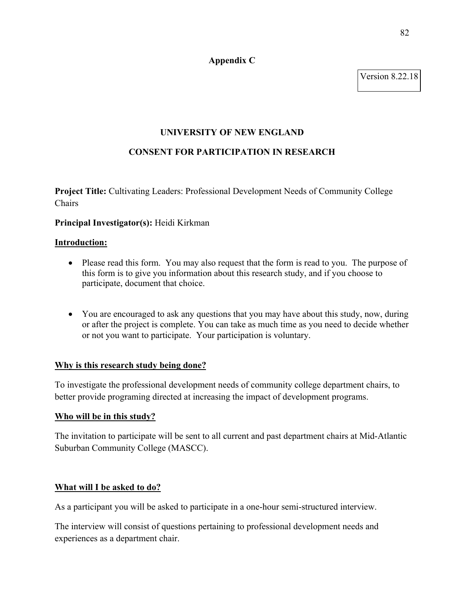#### **Appendix C**

Version 8.22.18

## **UNIVERSITY OF NEW ENGLAND**

## **CONSENT FOR PARTICIPATION IN RESEARCH**

**Project Title:** Cultivating Leaders: Professional Development Needs of Community College Chairs

#### **Principal Investigator(s):** Heidi Kirkman

#### **Introduction:**

- Please read this form. You may also request that the form is read to you. The purpose of this form is to give you information about this research study, and if you choose to participate, document that choice.
- You are encouraged to ask any questions that you may have about this study, now, during or after the project is complete. You can take as much time as you need to decide whether or not you want to participate. Your participation is voluntary.

#### **Why is this research study being done?**

To investigate the professional development needs of community college department chairs, to better provide programing directed at increasing the impact of development programs.

#### **Who will be in this study?**

The invitation to participate will be sent to all current and past department chairs at Mid-Atlantic Suburban Community College (MASCC).

## **What will I be asked to do?**

As a participant you will be asked to participate in a one-hour semi-structured interview.

The interview will consist of questions pertaining to professional development needs and experiences as a department chair.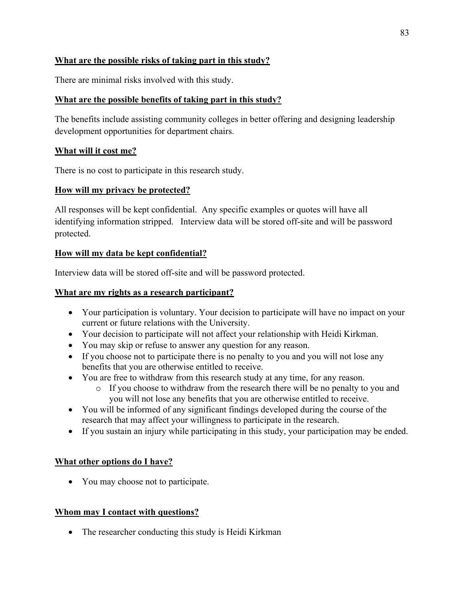# **What are the possible risks of taking part in this study?**

There are minimal risks involved with this study.

# **What are the possible benefits of taking part in this study?**

The benefits include assisting community colleges in better offering and designing leadership development opportunities for department chairs.

# **What will it cost me?**

There is no cost to participate in this research study.

# **How will my privacy be protected?**

All responses will be kept confidential. Any specific examples or quotes will have all identifying information stripped. Interview data will be stored off-site and will be password protected.

# **How will my data be kept confidential?**

Interview data will be stored off-site and will be password protected.

# **What are my rights as a research participant?**

- Your participation is voluntary. Your decision to participate will have no impact on your current or future relations with the University.
- Your decision to participate will not affect your relationship with Heidi Kirkman.
- You may skip or refuse to answer any question for any reason.
- If you choose not to participate there is no penalty to you and you will not lose any benefits that you are otherwise entitled to receive.
- You are free to withdraw from this research study at any time, for any reason.
	- o If you choose to withdraw from the research there will be no penalty to you and you will not lose any benefits that you are otherwise entitled to receive.
- You will be informed of any significant findings developed during the course of the research that may affect your willingness to participate in the research.
- If you sustain an injury while participating in this study, your participation may be ended.

## **What other options do I have?**

• You may choose not to participate.

## **Whom may I contact with questions?**

• The researcher conducting this study is Heidi Kirkman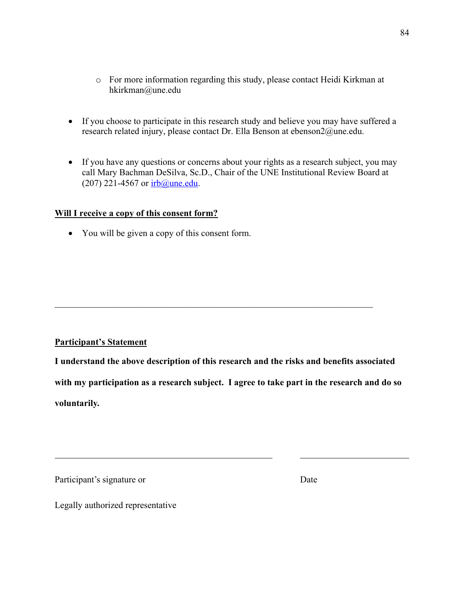- o For more information regarding this study, please contact Heidi Kirkman at hkirkman@une.edu
- If you choose to participate in this research study and believe you may have suffered a research related injury, please contact Dr. Ella Benson at ebenson2@une.edu.
- If you have any questions or concerns about your rights as a research subject, you may call Mary Bachman DeSilva, Sc.D., Chair of the UNE Institutional Review Board at (207) 221-4567 or irb@une.edu.

#### **Will I receive a copy of this consent form?**

• You will be given a copy of this consent form.

## **Participant's Statement**

**I understand the above description of this research and the risks and benefits associated with my participation as a research subject. I agree to take part in the research and do so voluntarily.**

Participant's signature or Date

Legally authorized representative